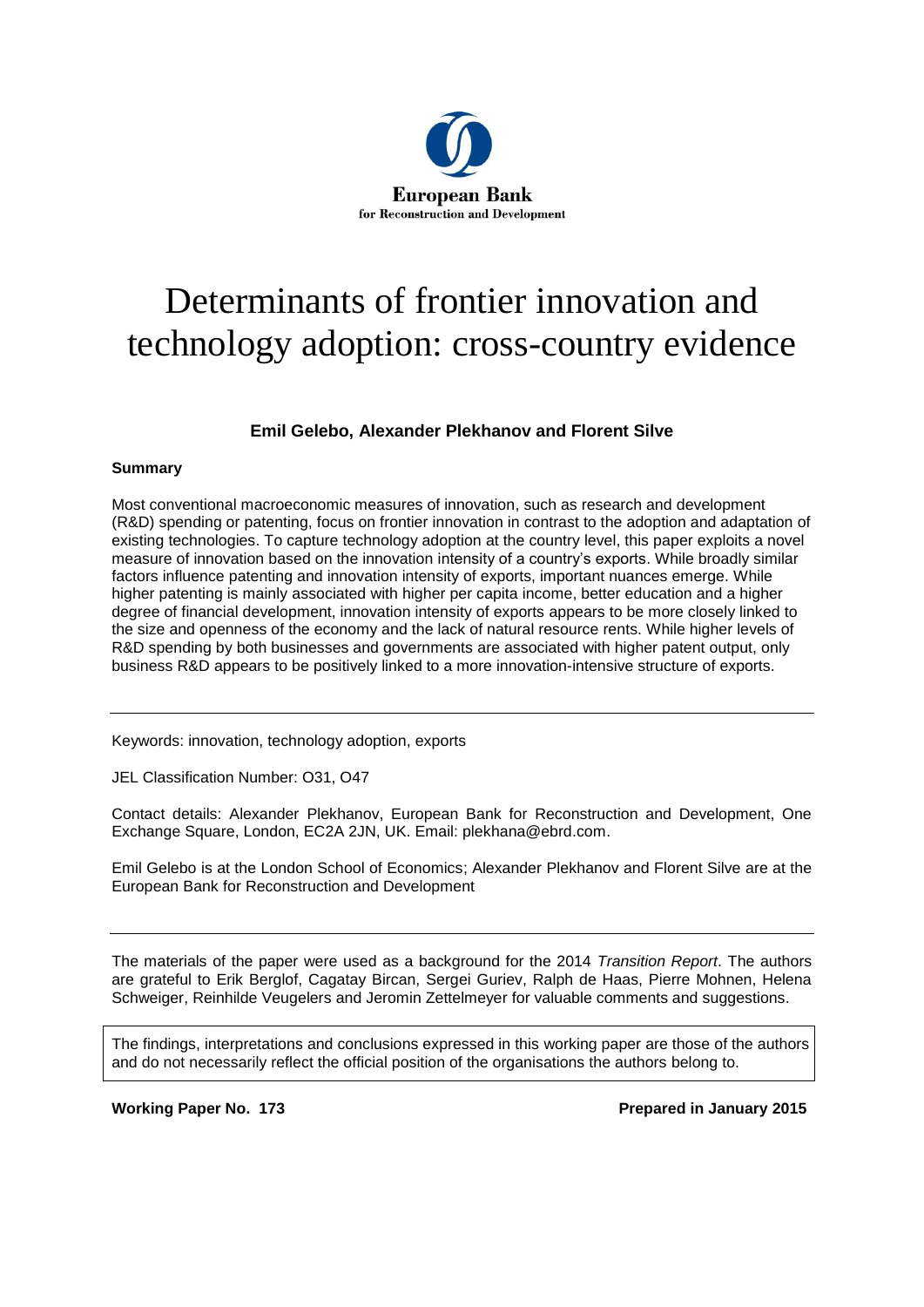

# Determinants of frontier innovation and technology adoption: cross-country evidence

### **Emil Gelebo, Alexander Plekhanov and Florent Silve**

### **Summary**

Most conventional macroeconomic measures of innovation, such as research and development (R&D) spending or patenting, focus on frontier innovation in contrast to the adoption and adaptation of existing technologies. To capture technology adoption at the country level, this paper exploits a novel measure of innovation based on the innovation intensity of a country's exports. While broadly similar factors influence patenting and innovation intensity of exports, important nuances emerge. While higher patenting is mainly associated with higher per capita income, better education and a higher degree of financial development, innovation intensity of exports appears to be more closely linked to the size and openness of the economy and the lack of natural resource rents. While higher levels of R&D spending by both businesses and governments are associated with higher patent output, only business R&D appears to be positively linked to a more innovation-intensive structure of exports.

Keywords: innovation, technology adoption, exports

JEL Classification Number: O31, O47

Contact details: Alexander Plekhanov, European Bank for Reconstruction and Development, One Exchange Square, London, EC2A 2JN, UK. Email: plekhana@ebrd.com.

Emil Gelebo is at the London School of Economics; Alexander Plekhanov and Florent Silve are at the European Bank for Reconstruction and Development

The materials of the paper were used as a background for the 2014 *Transition Report*. The authors are grateful to Erik Berglof, Cagatay Bircan, Sergei Guriev, Ralph de Haas, Pierre Mohnen, Helena Schweiger, Reinhilde Veugelers and Jeromin Zettelmeyer for valuable comments and suggestions.

The findings, interpretations and conclusions expressed in this working paper are those of the authors and do not necessarily reflect the official position of the organisations the authors belong to.

**Working Paper No. 173 Prepared in January 2015**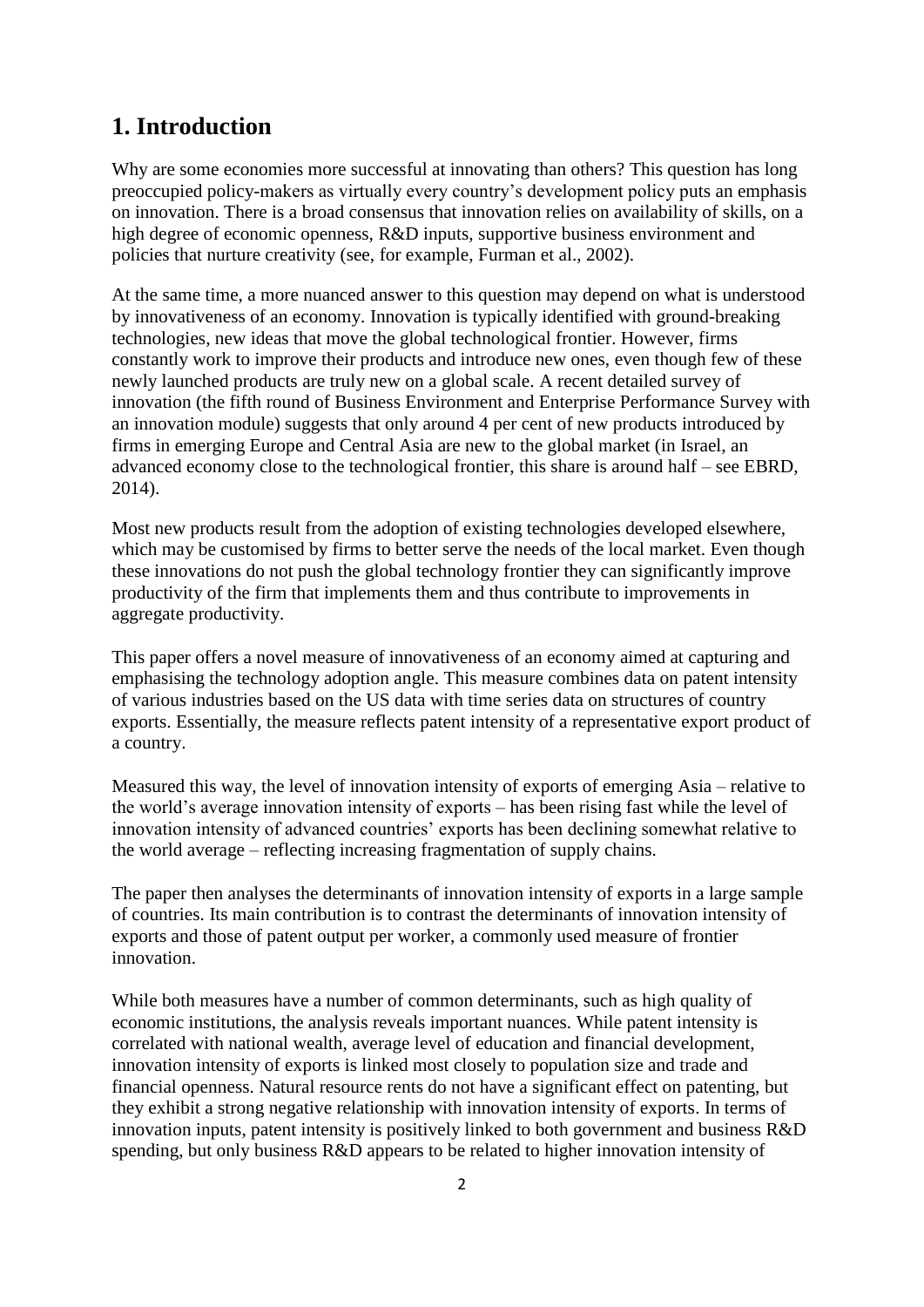### **1. Introduction**

Why are some economies more successful at innovating than others? This question has long preoccupied policy-makers as virtually every country's development policy puts an emphasis on innovation. There is a broad consensus that innovation relies on availability of skills, on a high degree of economic openness, R&D inputs, supportive business environment and policies that nurture creativity (see, for example, Furman et al., 2002).

At the same time, a more nuanced answer to this question may depend on what is understood by innovativeness of an economy. Innovation is typically identified with ground-breaking technologies, new ideas that move the global technological frontier. However, firms constantly work to improve their products and introduce new ones, even though few of these newly launched products are truly new on a global scale. A recent detailed survey of innovation (the fifth round of Business Environment and Enterprise Performance Survey with an innovation module) suggests that only around 4 per cent of new products introduced by firms in emerging Europe and Central Asia are new to the global market (in Israel, an advanced economy close to the technological frontier, this share is around half – see EBRD, 2014).

Most new products result from the adoption of existing technologies developed elsewhere, which may be customised by firms to better serve the needs of the local market. Even though these innovations do not push the global technology frontier they can significantly improve productivity of the firm that implements them and thus contribute to improvements in aggregate productivity.

This paper offers a novel measure of innovativeness of an economy aimed at capturing and emphasising the technology adoption angle. This measure combines data on patent intensity of various industries based on the US data with time series data on structures of country exports. Essentially, the measure reflects patent intensity of a representative export product of a country.

Measured this way, the level of innovation intensity of exports of emerging Asia – relative to the world's average innovation intensity of exports – has been rising fast while the level of innovation intensity of advanced countries' exports has been declining somewhat relative to the world average – reflecting increasing fragmentation of supply chains.

The paper then analyses the determinants of innovation intensity of exports in a large sample of countries. Its main contribution is to contrast the determinants of innovation intensity of exports and those of patent output per worker, a commonly used measure of frontier innovation.

While both measures have a number of common determinants, such as high quality of economic institutions, the analysis reveals important nuances. While patent intensity is correlated with national wealth, average level of education and financial development, innovation intensity of exports is linked most closely to population size and trade and financial openness. Natural resource rents do not have a significant effect on patenting, but they exhibit a strong negative relationship with innovation intensity of exports. In terms of innovation inputs, patent intensity is positively linked to both government and business R&D spending, but only business R&D appears to be related to higher innovation intensity of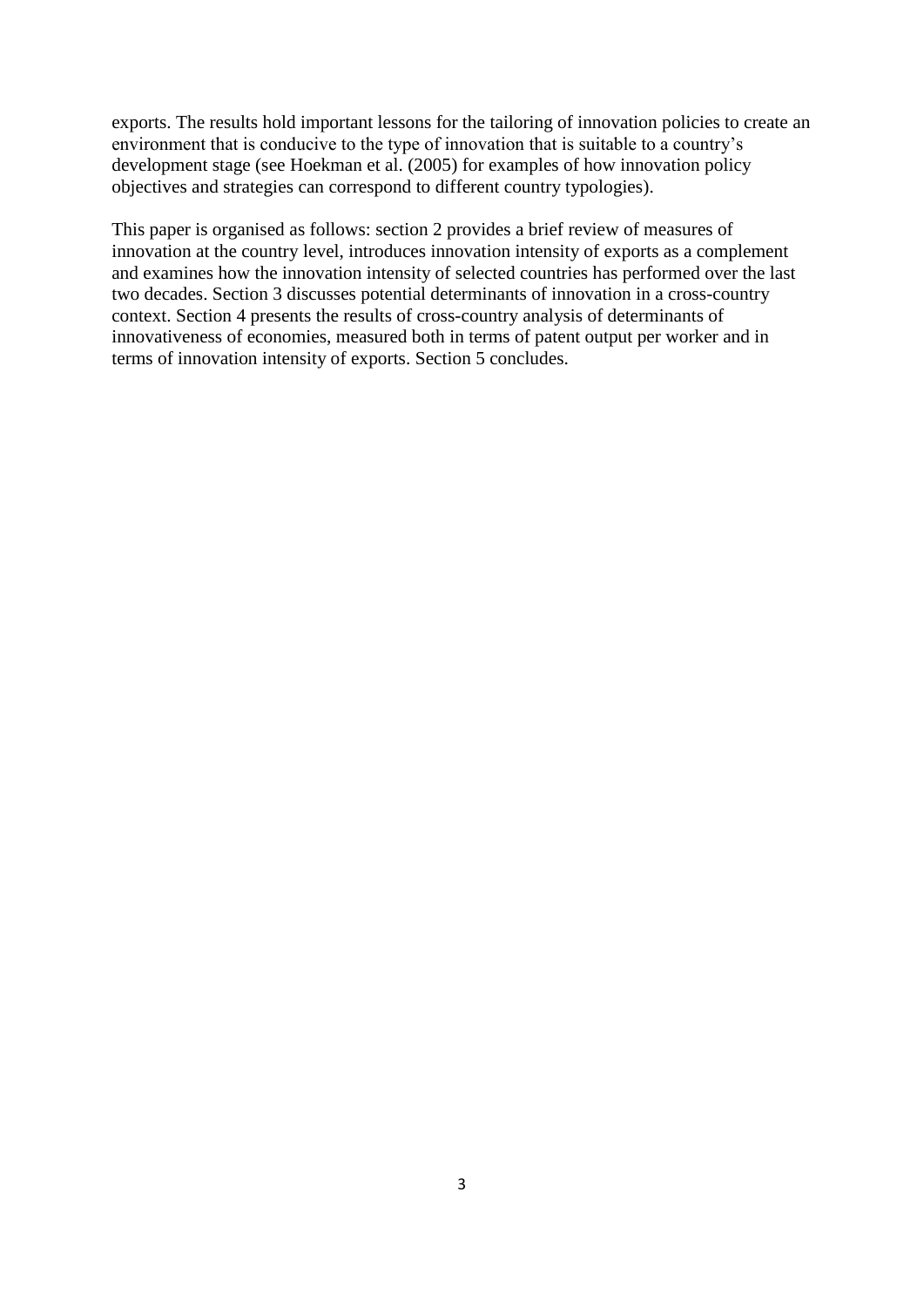exports. The results hold important lessons for the tailoring of innovation policies to create an environment that is conducive to the type of innovation that is suitable to a country's development stage (see Hoekman et al. (2005) for examples of how innovation policy objectives and strategies can correspond to different country typologies).

This paper is organised as follows: section 2 provides a brief review of measures of innovation at the country level, introduces innovation intensity of exports as a complement and examines how the innovation intensity of selected countries has performed over the last two decades. Section 3 discusses potential determinants of innovation in a cross-country context. Section 4 presents the results of cross-country analysis of determinants of innovativeness of economies, measured both in terms of patent output per worker and in terms of innovation intensity of exports. Section 5 concludes.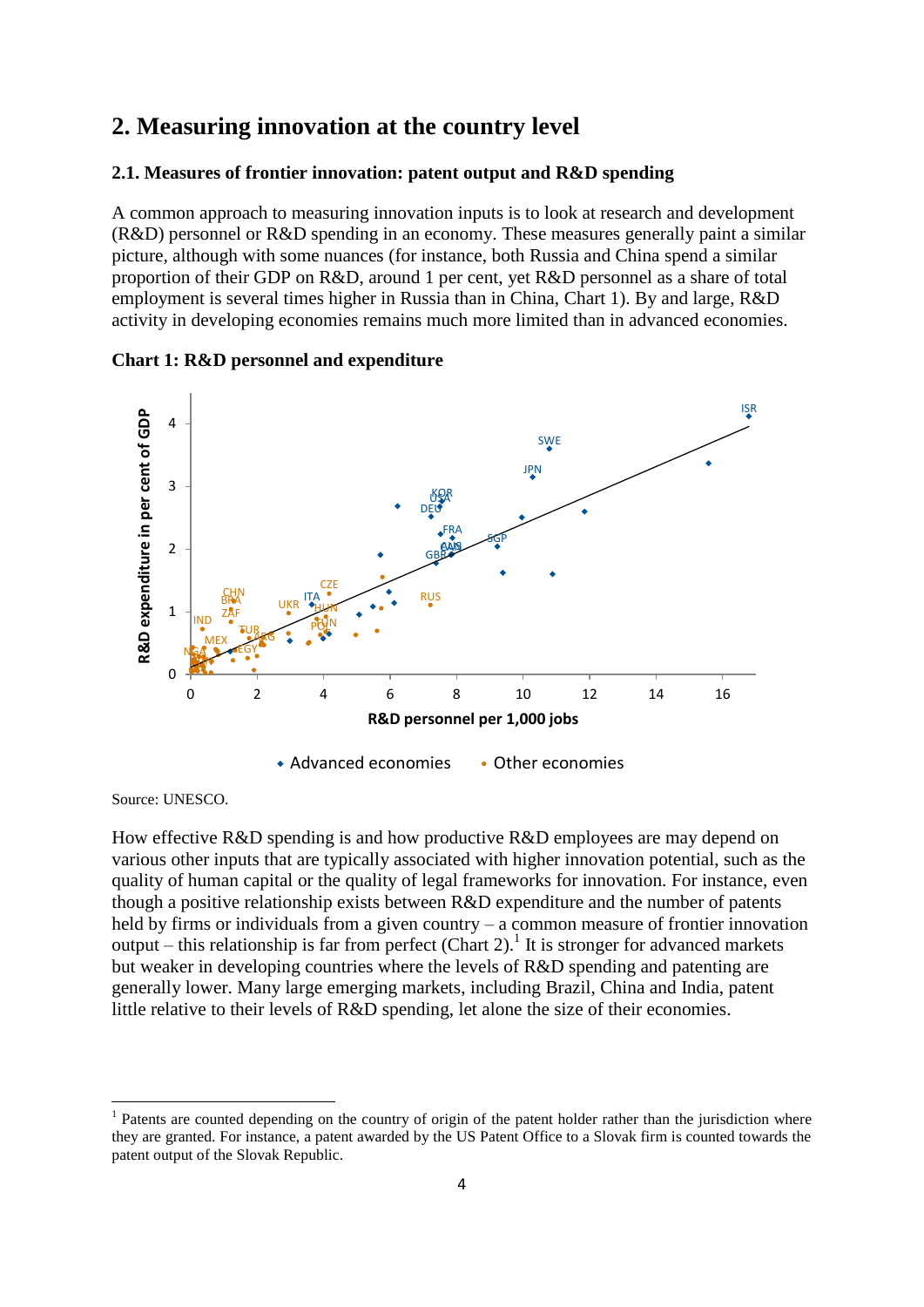### **2. Measuring innovation at the country level**

#### **2.1. Measures of frontier innovation: patent output and R&D spending**

A common approach to measuring innovation inputs is to look at research and development (R&D) personnel or R&D spending in an economy. These measures generally paint a similar picture, although with some nuances (for instance, both Russia and China spend a similar proportion of their GDP on R&D, around 1 per cent, yet R&D personnel as a share of total employment is several times higher in Russia than in China, Chart 1). By and large, R&D activity in developing economies remains much more limited than in advanced economies.



**Chart 1: R&D personnel and expenditure**

Source: UNESCO.

How effective R&D spending is and how productive R&D employees are may depend on various other inputs that are typically associated with higher innovation potential, such as the quality of human capital or the quality of legal frameworks for innovation. For instance, even though a positive relationship exists between R&D expenditure and the number of patents held by firms or individuals from a given country – a common measure of frontier innovation output – this relationship is far from perfect (Chart 2).<sup>1</sup> It is stronger for advanced markets but weaker in developing countries where the levels of R&D spending and patenting are generally lower. Many large emerging markets, including Brazil, China and India, patent little relative to their levels of R&D spending, let alone the size of their economies.

<sup>&</sup>lt;sup>1</sup> Patents are counted depending on the country of origin of the patent holder rather than the jurisdiction where they are granted. For instance, a patent awarded by the US Patent Office to a Slovak firm is counted towards the patent output of the Slovak Republic.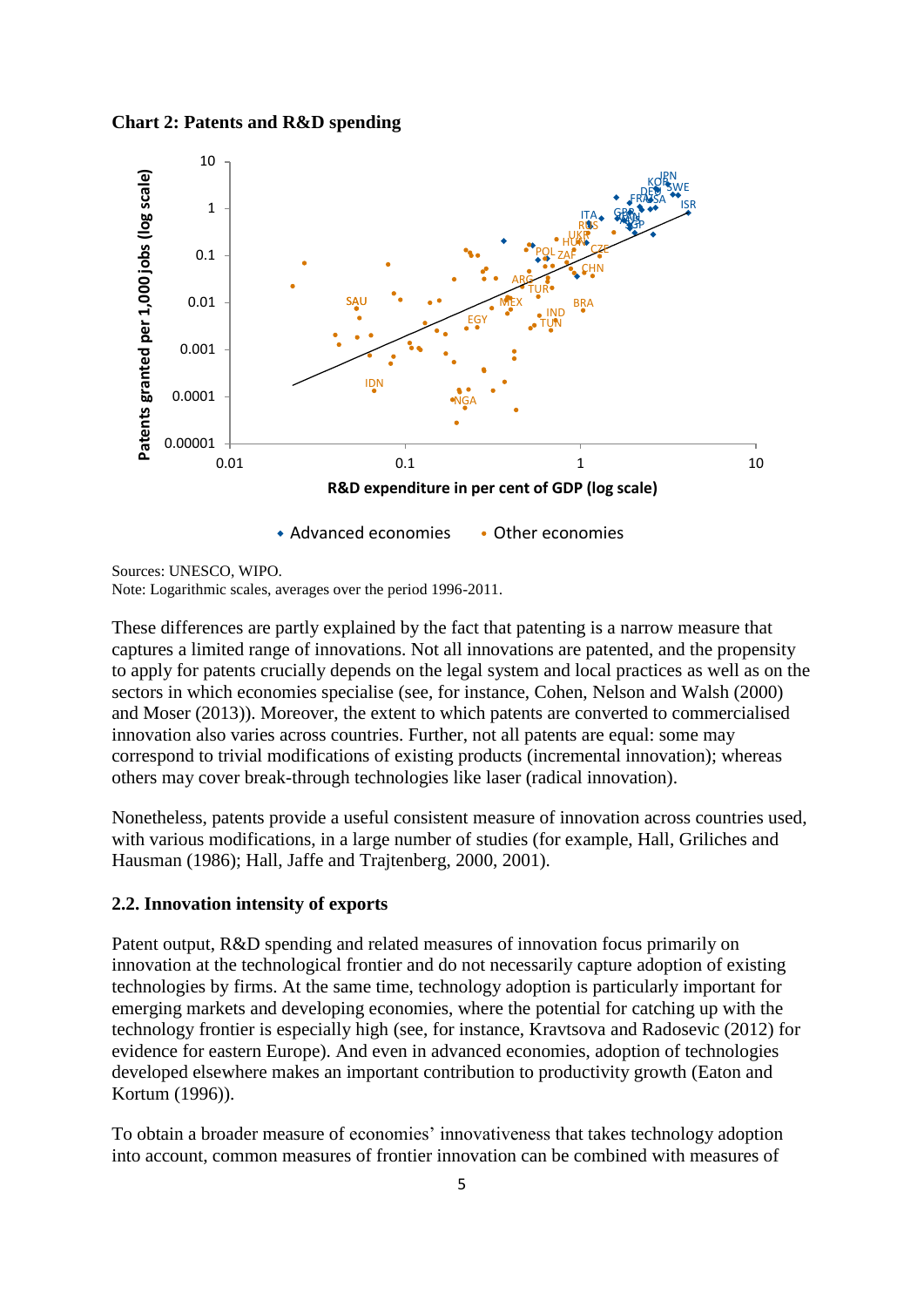**Chart 2: Patents and R&D spending**



Sources: UNESCO, WIPO. Note: Logarithmic scales, averages over the period 1996-2011.

These differences are partly explained by the fact that patenting is a narrow measure that captures a limited range of innovations. Not all innovations are patented, and the propensity to apply for patents crucially depends on the legal system and local practices as well as on the sectors in which economies specialise (see, for instance, Cohen, Nelson and Walsh (2000) and Moser (2013)). Moreover, the extent to which patents are converted to commercialised innovation also varies across countries. Further, not all patents are equal: some may correspond to trivial modifications of existing products (incremental innovation); whereas others may cover break-through technologies like laser (radical innovation).

Nonetheless, patents provide a useful consistent measure of innovation across countries used, with various modifications, in a large number of studies (for example, Hall, Griliches and Hausman (1986); Hall, Jaffe and Trajtenberg, 2000, 2001).

### **2.2. Innovation intensity of exports**

Patent output, R&D spending and related measures of innovation focus primarily on innovation at the technological frontier and do not necessarily capture adoption of existing technologies by firms. At the same time, technology adoption is particularly important for emerging markets and developing economies, where the potential for catching up with the technology frontier is especially high (see, for instance, Kravtsova and Radosevic (2012) for evidence for eastern Europe). And even in advanced economies, adoption of technologies developed elsewhere makes an important contribution to productivity growth (Eaton and Kortum (1996)).

To obtain a broader measure of economies' innovativeness that takes technology adoption into account, common measures of frontier innovation can be combined with measures of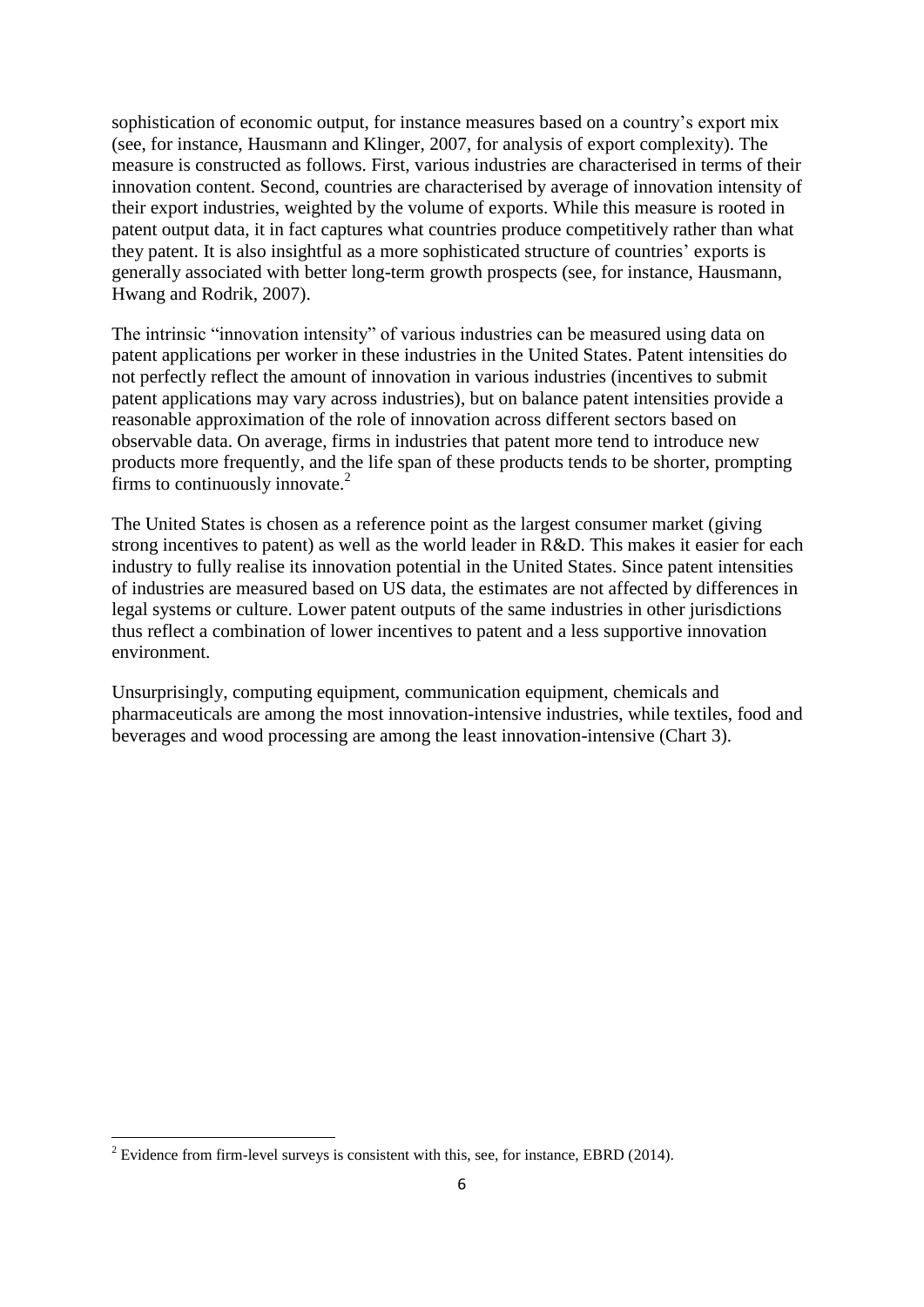sophistication of economic output, for instance measures based on a country's export mix (see, for instance, Hausmann and Klinger, 2007, for analysis of export complexity). The measure is constructed as follows. First, various industries are characterised in terms of their innovation content. Second, countries are characterised by average of innovation intensity of their export industries, weighted by the volume of exports. While this measure is rooted in patent output data, it in fact captures what countries produce competitively rather than what they patent. It is also insightful as a more sophisticated structure of countries' exports is generally associated with better long-term growth prospects (see, for instance, Hausmann, Hwang and Rodrik, 2007).

The intrinsic "innovation intensity" of various industries can be measured using data on patent applications per worker in these industries in the United States. Patent intensities do not perfectly reflect the amount of innovation in various industries (incentives to submit patent applications may vary across industries), but on balance patent intensities provide a reasonable approximation of the role of innovation across different sectors based on observable data. On average, firms in industries that patent more tend to introduce new products more frequently, and the life span of these products tends to be shorter, prompting firms to continuously innovate.<sup>2</sup>

The United States is chosen as a reference point as the largest consumer market (giving strong incentives to patent) as well as the world leader in R&D. This makes it easier for each industry to fully realise its innovation potential in the United States. Since patent intensities of industries are measured based on US data, the estimates are not affected by differences in legal systems or culture. Lower patent outputs of the same industries in other jurisdictions thus reflect a combination of lower incentives to patent and a less supportive innovation environment.

Unsurprisingly, computing equipment, communication equipment, chemicals and pharmaceuticals are among the most innovation-intensive industries, while textiles, food and beverages and wood processing are among the least innovation-intensive (Chart 3).

 $\overline{a}$ 

 $2^2$  Evidence from firm-level surveys is consistent with this, see, for instance, EBRD (2014).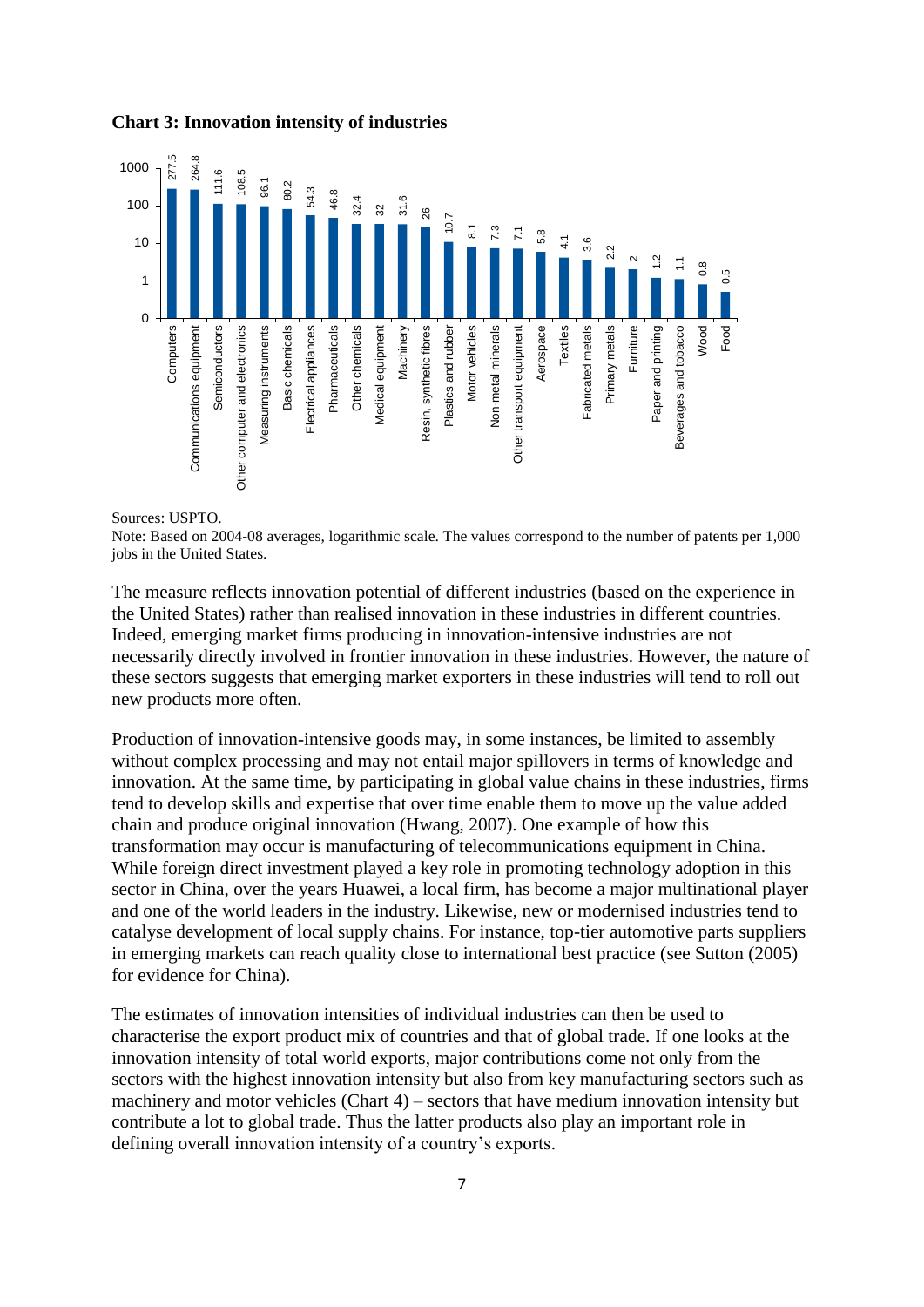

#### **Chart 3: Innovation intensity of industries**

Sources: USPTO.

Note: Based on 2004-08 averages, logarithmic scale. The values correspond to the number of patents per 1,000 jobs in the United States.

The measure reflects innovation potential of different industries (based on the experience in the United States) rather than realised innovation in these industries in different countries. Indeed, emerging market firms producing in innovation-intensive industries are not necessarily directly involved in frontier innovation in these industries. However, the nature of these sectors suggests that emerging market exporters in these industries will tend to roll out new products more often.

Production of innovation-intensive goods may, in some instances, be limited to assembly without complex processing and may not entail major spillovers in terms of knowledge and innovation. At the same time, by participating in global value chains in these industries, firms tend to develop skills and expertise that over time enable them to move up the value added chain and produce original innovation (Hwang, 2007). One example of how this transformation may occur is manufacturing of telecommunications equipment in China. While foreign direct investment played a key role in promoting technology adoption in this sector in China, over the years Huawei, a local firm, has become a major multinational player and one of the world leaders in the industry. Likewise, new or modernised industries tend to catalyse development of local supply chains. For instance, top-tier automotive parts suppliers in emerging markets can reach quality close to international best practice (see Sutton (2005) for evidence for China).

The estimates of innovation intensities of individual industries can then be used to characterise the export product mix of countries and that of global trade. If one looks at the innovation intensity of total world exports, major contributions come not only from the sectors with the highest innovation intensity but also from key manufacturing sectors such as machinery and motor vehicles (Chart 4) – sectors that have medium innovation intensity but contribute a lot to global trade. Thus the latter products also play an important role in defining overall innovation intensity of a country's exports.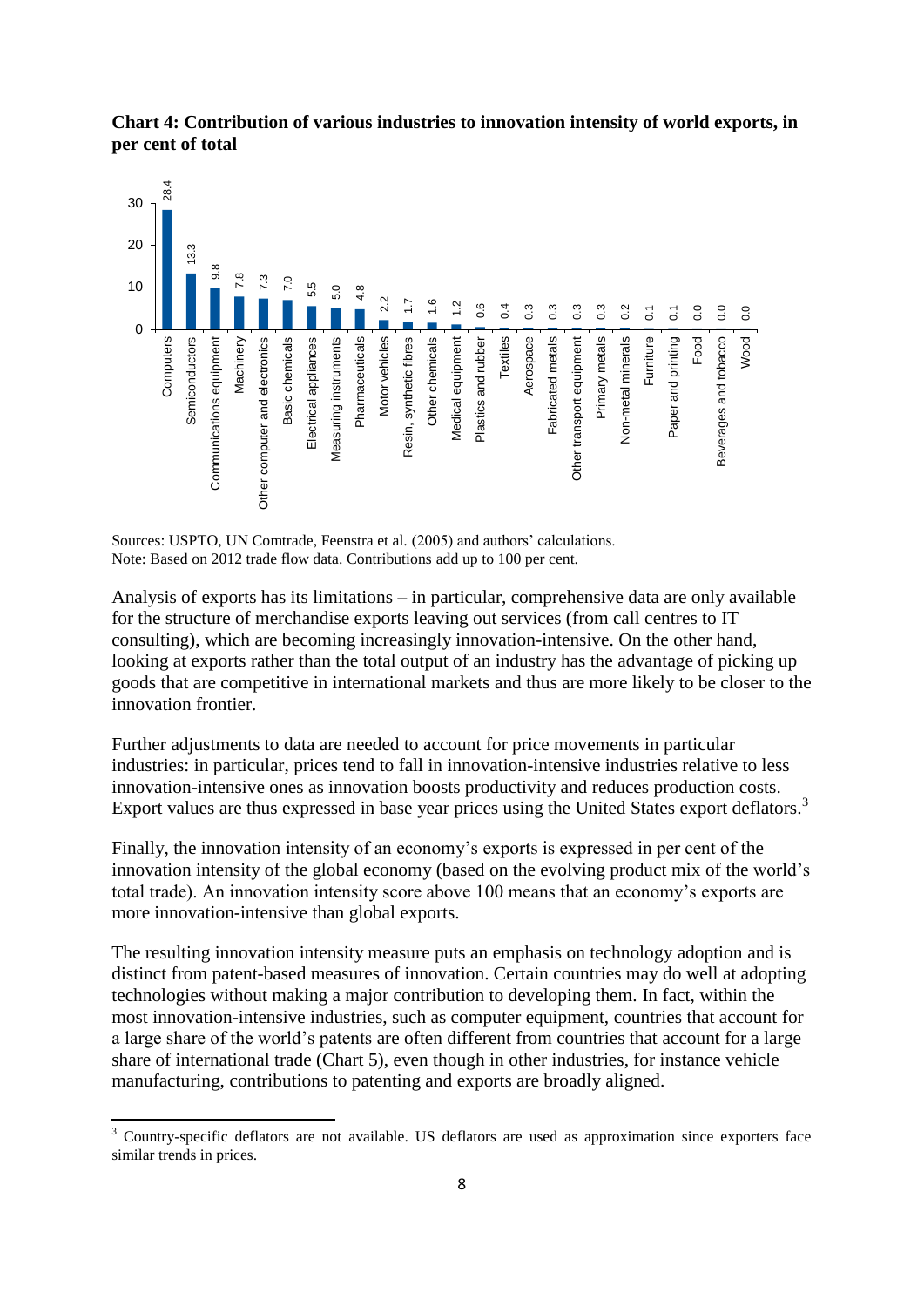



Sources: USPTO, UN Comtrade, Feenstra et al. (2005) and authors' calculations. Note: Based on 2012 trade flow data. Contributions add up to 100 per cent.

Analysis of exports has its limitations – in particular, comprehensive data are only available for the structure of merchandise exports leaving out services (from call centres to IT consulting), which are becoming increasingly innovation-intensive. On the other hand, looking at exports rather than the total output of an industry has the advantage of picking up goods that are competitive in international markets and thus are more likely to be closer to the innovation frontier.

Further adjustments to data are needed to account for price movements in particular industries: in particular, prices tend to fall in innovation-intensive industries relative to less innovation-intensive ones as innovation boosts productivity and reduces production costs. Export values are thus expressed in base year prices using the United States export deflators.<sup>3</sup>

Finally, the innovation intensity of an economy's exports is expressed in per cent of the innovation intensity of the global economy (based on the evolving product mix of the world's total trade). An innovation intensity score above 100 means that an economy's exports are more innovation-intensive than global exports.

The resulting innovation intensity measure puts an emphasis on technology adoption and is distinct from patent-based measures of innovation. Certain countries may do well at adopting technologies without making a major contribution to developing them. In fact, within the most innovation-intensive industries, such as computer equipment, countries that account for a large share of the world's patents are often different from countries that account for a large share of international trade (Chart 5), even though in other industries, for instance vehicle manufacturing, contributions to patenting and exports are broadly aligned.

**.** 

 $3$  Country-specific deflators are not available. US deflators are used as approximation since exporters face similar trends in prices.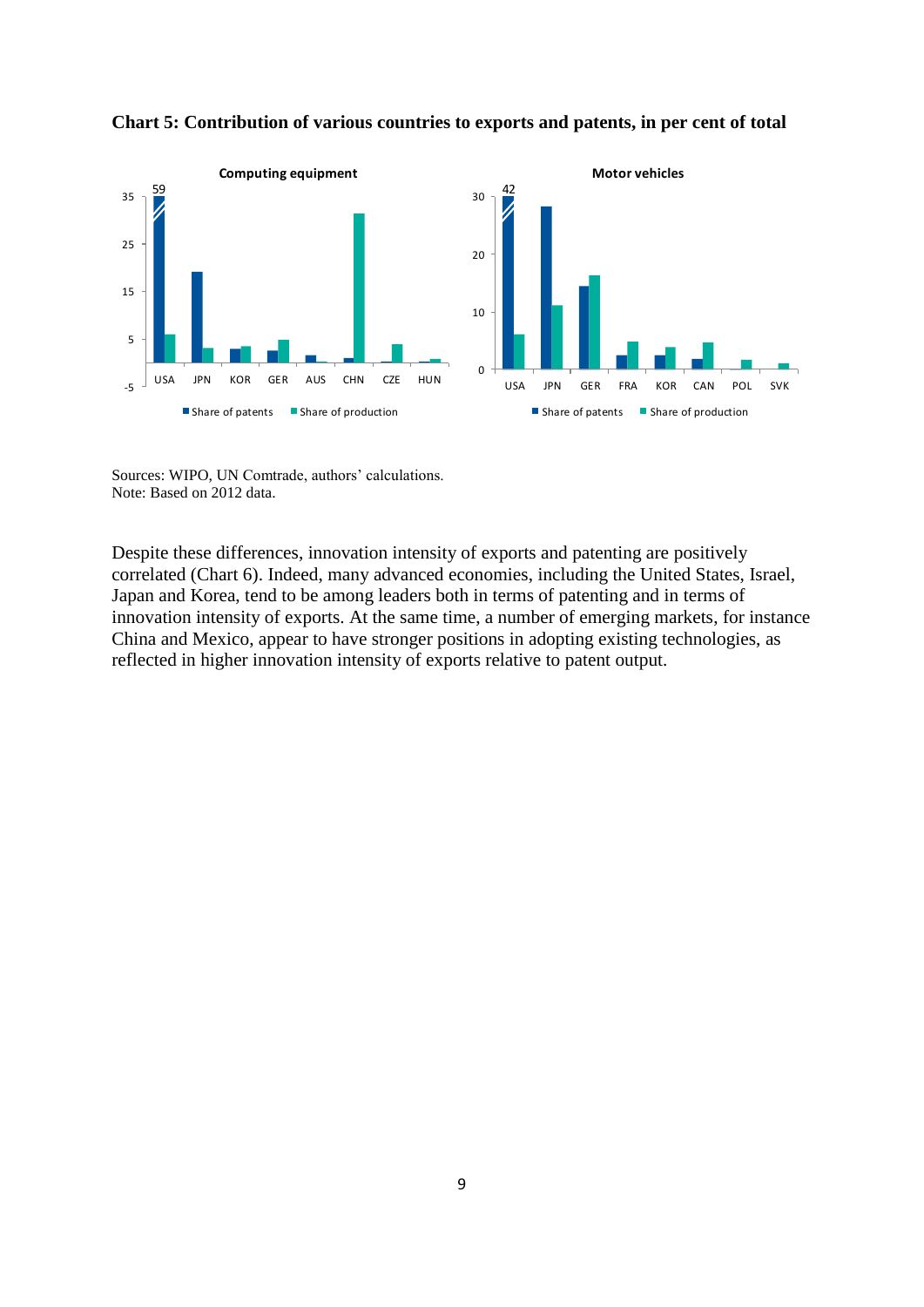

**Chart 5: Contribution of various countries to exports and patents, in per cent of total** 

Sources: WIPO, UN Comtrade, authors' calculations. Note: Based on 2012 data.

Despite these differences, innovation intensity of exports and patenting are positively correlated (Chart 6). Indeed, many advanced economies, including the United States, Israel, Japan and Korea, tend to be among leaders both in terms of patenting and in terms of innovation intensity of exports. At the same time, a number of emerging markets, for instance China and Mexico, appear to have stronger positions in adopting existing technologies, as reflected in higher innovation intensity of exports relative to patent output.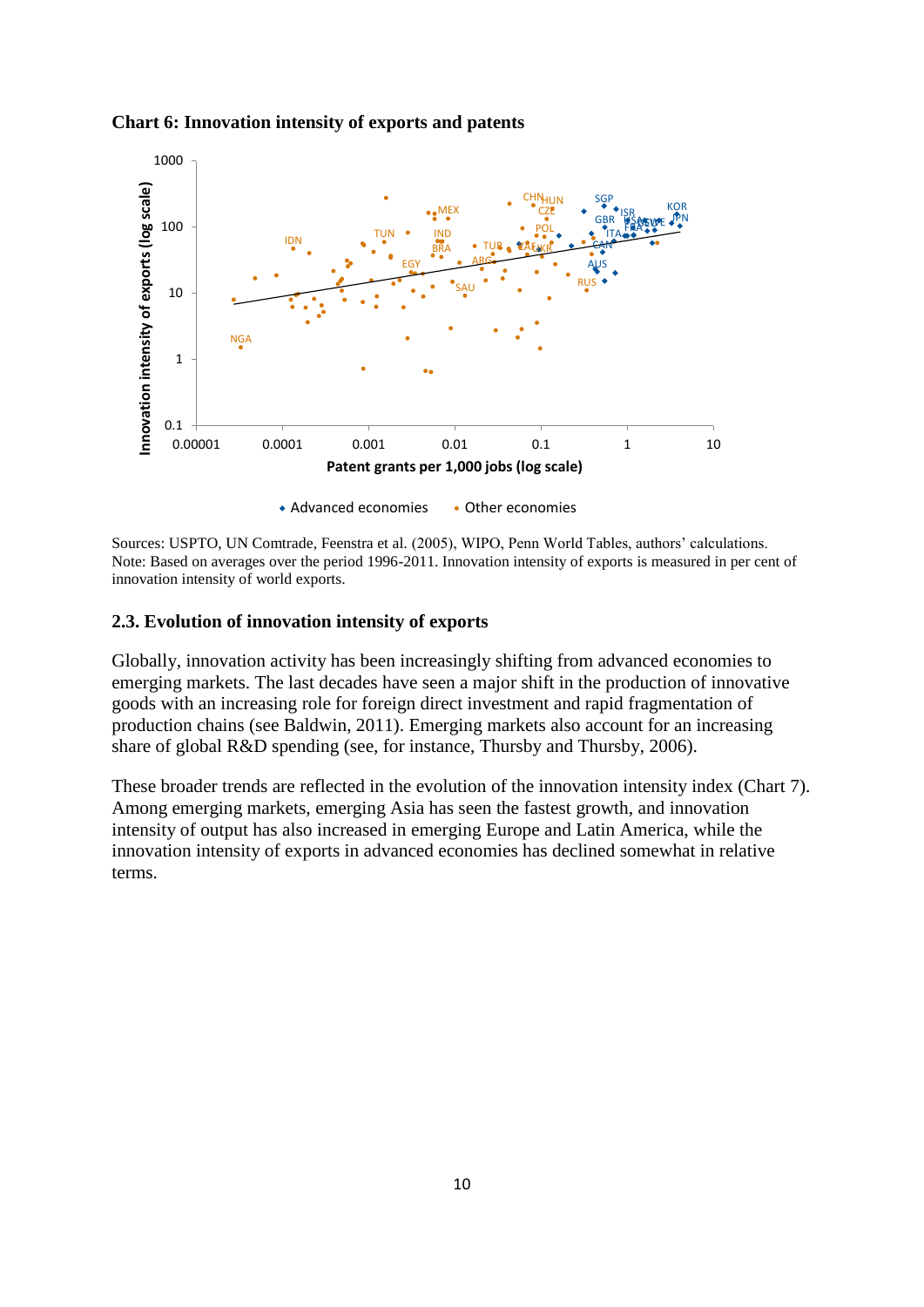

#### **Chart 6: Innovation intensity of exports and patents**

Sources: USPTO, UN Comtrade, Feenstra et al. (2005), WIPO, Penn World Tables, authors' calculations. Note: Based on averages over the period 1996-2011. Innovation intensity of exports is measured in per cent of innovation intensity of world exports.

### **2.3. Evolution of innovation intensity of exports**

Globally, innovation activity has been increasingly shifting from advanced economies to emerging markets. The last decades have seen a major shift in the production of innovative goods with an increasing role for foreign direct investment and rapid fragmentation of production chains (see Baldwin, 2011). Emerging markets also account for an increasing share of global R&D spending (see, for instance, Thursby and Thursby, 2006).

These broader trends are reflected in the evolution of the innovation intensity index (Chart 7). Among emerging markets, emerging Asia has seen the fastest growth, and innovation intensity of output has also increased in emerging Europe and Latin America, while the innovation intensity of exports in advanced economies has declined somewhat in relative terms.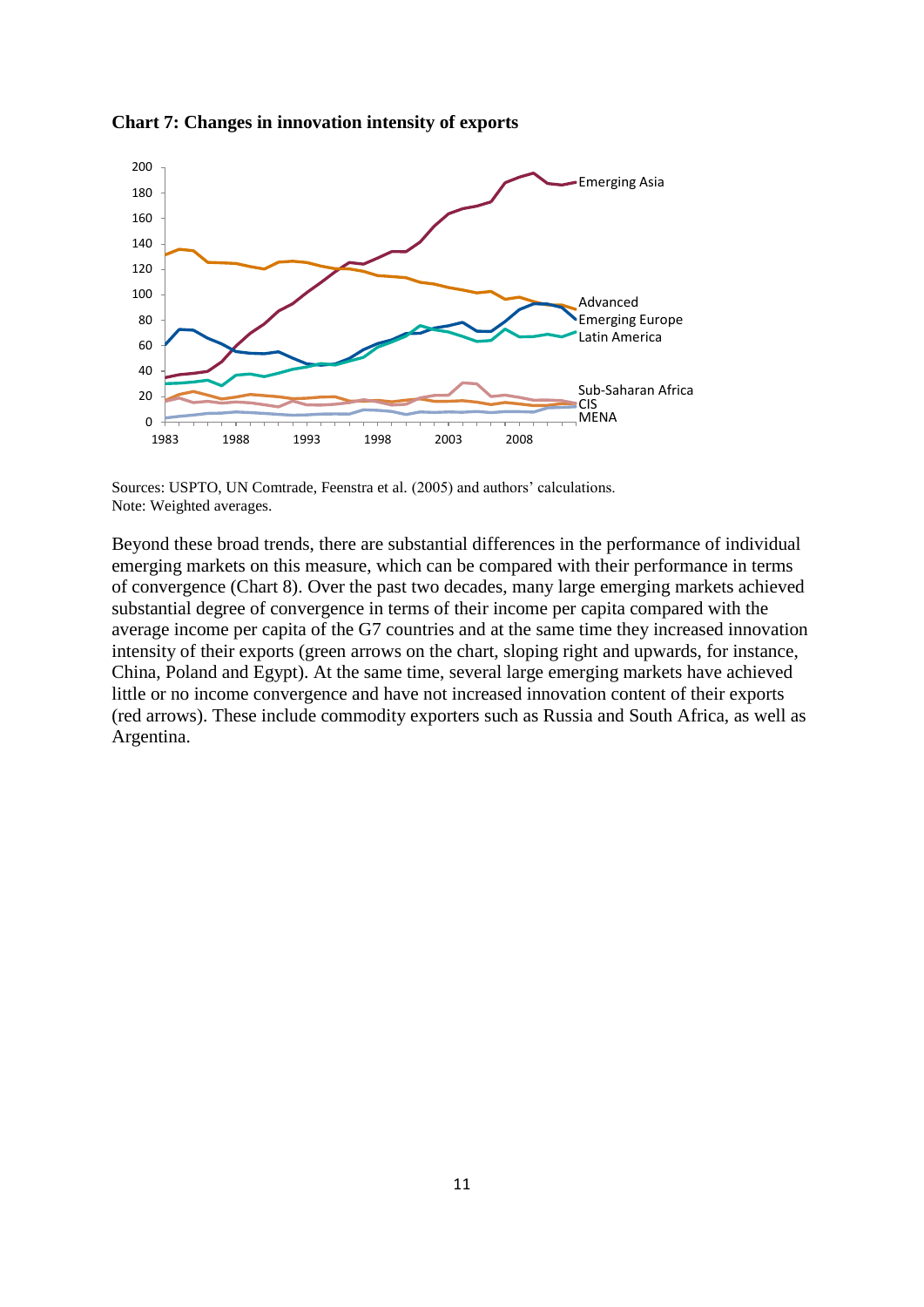

**Chart 7: Changes in innovation intensity of exports**

Sources: USPTO, UN Comtrade, Feenstra et al. (2005) and authors' calculations. Note: Weighted averages.

Beyond these broad trends, there are substantial differences in the performance of individual emerging markets on this measure, which can be compared with their performance in terms of convergence (Chart 8). Over the past two decades, many large emerging markets achieved substantial degree of convergence in terms of their income per capita compared with the average income per capita of the G7 countries and at the same time they increased innovation intensity of their exports (green arrows on the chart, sloping right and upwards, for instance, China, Poland and Egypt). At the same time, several large emerging markets have achieved little or no income convergence and have not increased innovation content of their exports (red arrows). These include commodity exporters such as Russia and South Africa, as well as Argentina.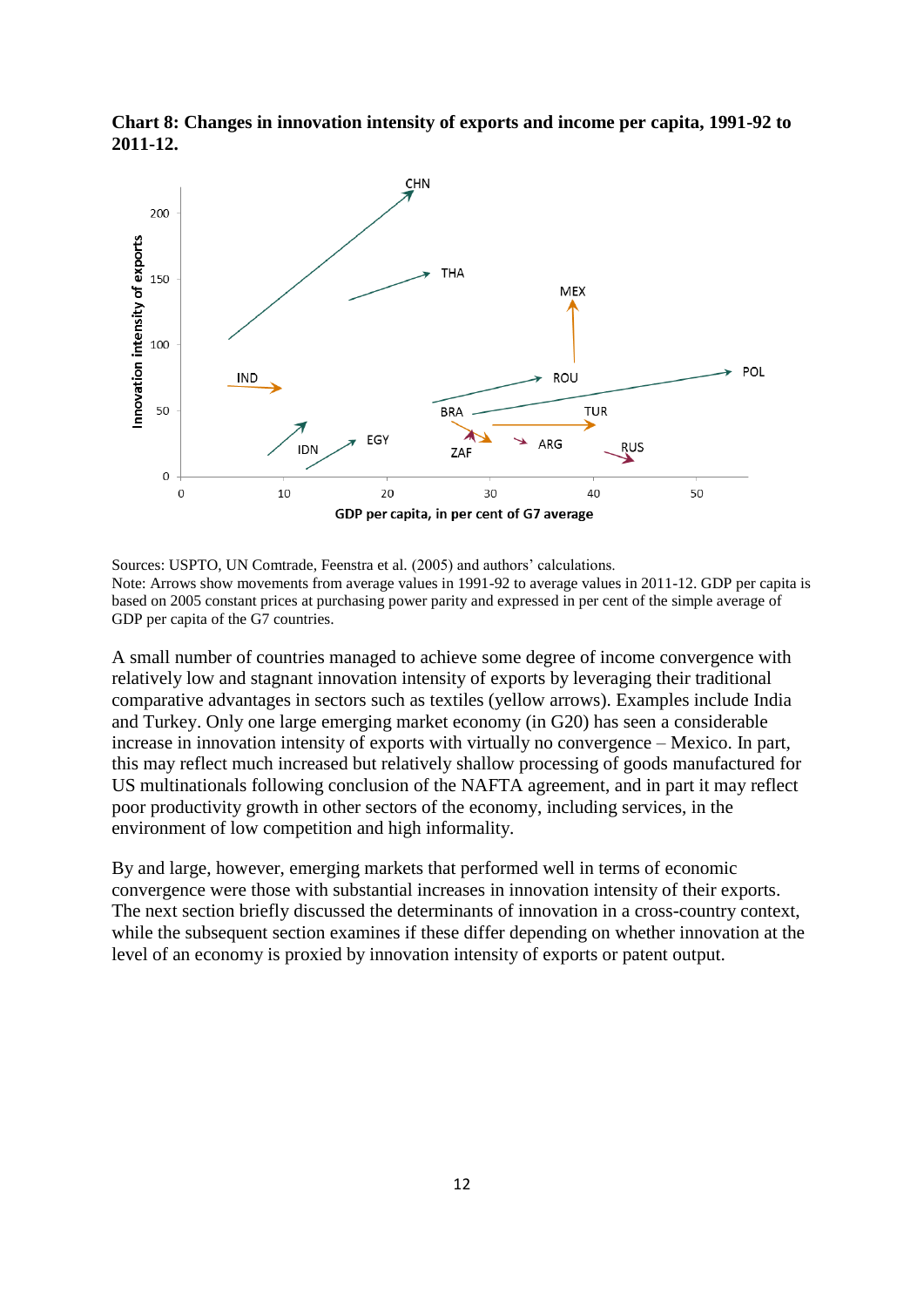

**Chart 8: Changes in innovation intensity of exports and income per capita, 1991-92 to 2011-12.**

Sources: USPTO, UN Comtrade, Feenstra et al. (2005) and authors' calculations. Note: Arrows show movements from average values in 1991-92 to average values in 2011-12. GDP per capita is based on 2005 constant prices at purchasing power parity and expressed in per cent of the simple average of GDP per capita of the G7 countries.

A small number of countries managed to achieve some degree of income convergence with relatively low and stagnant innovation intensity of exports by leveraging their traditional comparative advantages in sectors such as textiles (yellow arrows). Examples include India and Turkey. Only one large emerging market economy (in G20) has seen a considerable increase in innovation intensity of exports with virtually no convergence – Mexico. In part, this may reflect much increased but relatively shallow processing of goods manufactured for US multinationals following conclusion of the NAFTA agreement, and in part it may reflect poor productivity growth in other sectors of the economy, including services, in the environment of low competition and high informality.

By and large, however, emerging markets that performed well in terms of economic convergence were those with substantial increases in innovation intensity of their exports. The next section briefly discussed the determinants of innovation in a cross-country context, while the subsequent section examines if these differ depending on whether innovation at the level of an economy is proxied by innovation intensity of exports or patent output.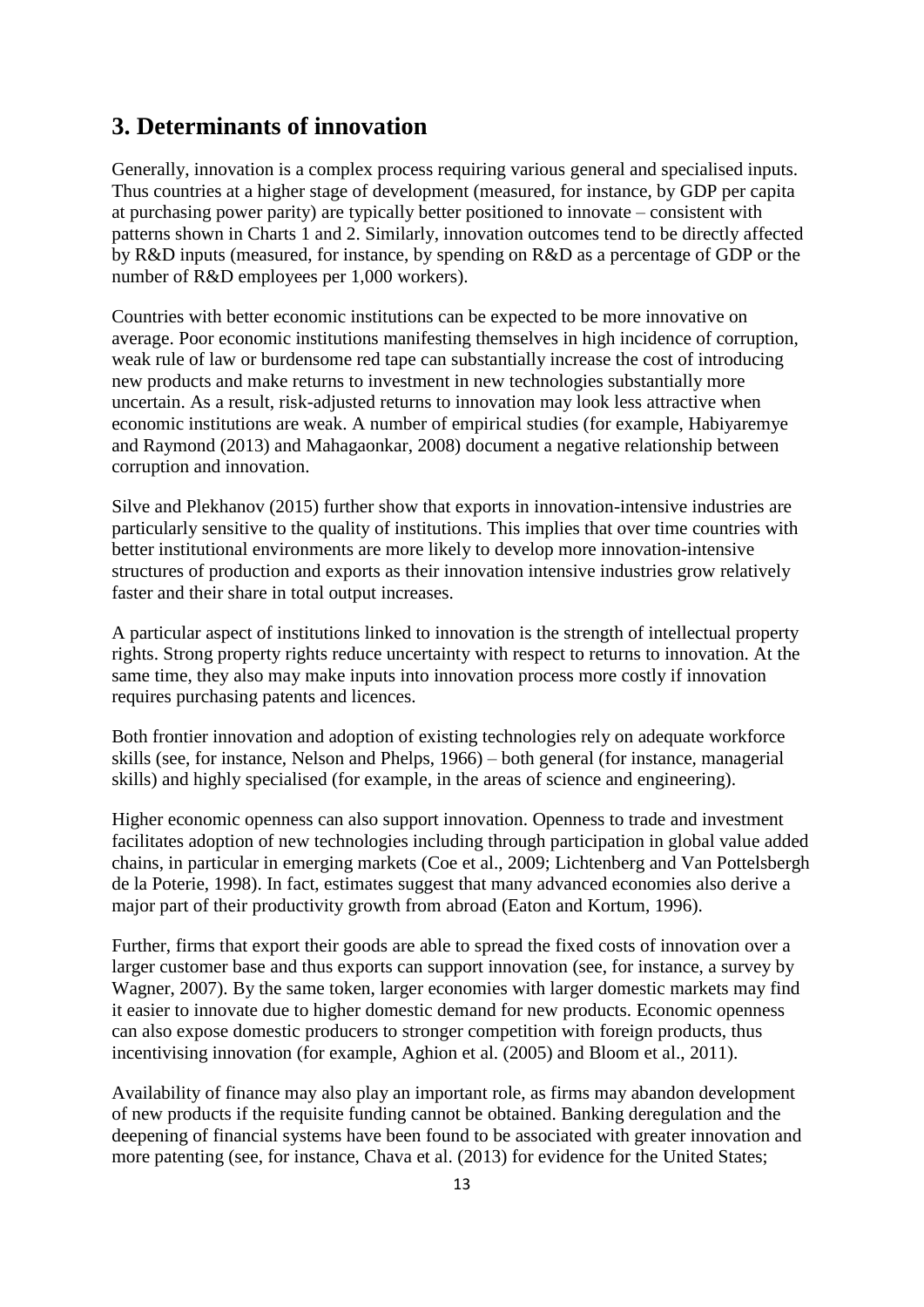### **3. Determinants of innovation**

Generally, innovation is a complex process requiring various general and specialised inputs. Thus countries at a higher stage of development (measured, for instance, by GDP per capita at purchasing power parity) are typically better positioned to innovate – consistent with patterns shown in Charts 1 and 2. Similarly, innovation outcomes tend to be directly affected by R&D inputs (measured, for instance, by spending on R&D as a percentage of GDP or the number of R&D employees per 1,000 workers).

Countries with better economic institutions can be expected to be more innovative on average. Poor economic institutions manifesting themselves in high incidence of corruption, weak rule of law or burdensome red tape can substantially increase the cost of introducing new products and make returns to investment in new technologies substantially more uncertain. As a result, risk-adjusted returns to innovation may look less attractive when economic institutions are weak. A number of empirical studies (for example, Habiyaremye and Raymond (2013) and Mahagaonkar, 2008) document a negative relationship between corruption and innovation.

Silve and Plekhanov (2015) further show that exports in innovation-intensive industries are particularly sensitive to the quality of institutions. This implies that over time countries with better institutional environments are more likely to develop more innovation-intensive structures of production and exports as their innovation intensive industries grow relatively faster and their share in total output increases.

A particular aspect of institutions linked to innovation is the strength of intellectual property rights. Strong property rights reduce uncertainty with respect to returns to innovation. At the same time, they also may make inputs into innovation process more costly if innovation requires purchasing patents and licences.

Both frontier innovation and adoption of existing technologies rely on adequate workforce skills (see, for instance, Nelson and Phelps, 1966) – both general (for instance, managerial skills) and highly specialised (for example, in the areas of science and engineering).

Higher economic openness can also support innovation. Openness to trade and investment facilitates adoption of new technologies including through participation in global value added chains, in particular in emerging markets (Coe et al., 2009; Lichtenberg and Van Pottelsbergh de la Poterie, 1998). In fact, estimates suggest that many advanced economies also derive a major part of their productivity growth from abroad (Eaton and Kortum, 1996).

Further, firms that export their goods are able to spread the fixed costs of innovation over a larger customer base and thus exports can support innovation (see, for instance, a survey by Wagner, 2007). By the same token, larger economies with larger domestic markets may find it easier to innovate due to higher domestic demand for new products. Economic openness can also expose domestic producers to stronger competition with foreign products, thus incentivising innovation (for example, Aghion et al. (2005) and Bloom et al., 2011).

Availability of finance may also play an important role, as firms may abandon development of new products if the requisite funding cannot be obtained. Banking deregulation and the deepening of financial systems have been found to be associated with greater innovation and more patenting (see, for instance, Chava et al. (2013) for evidence for the United States;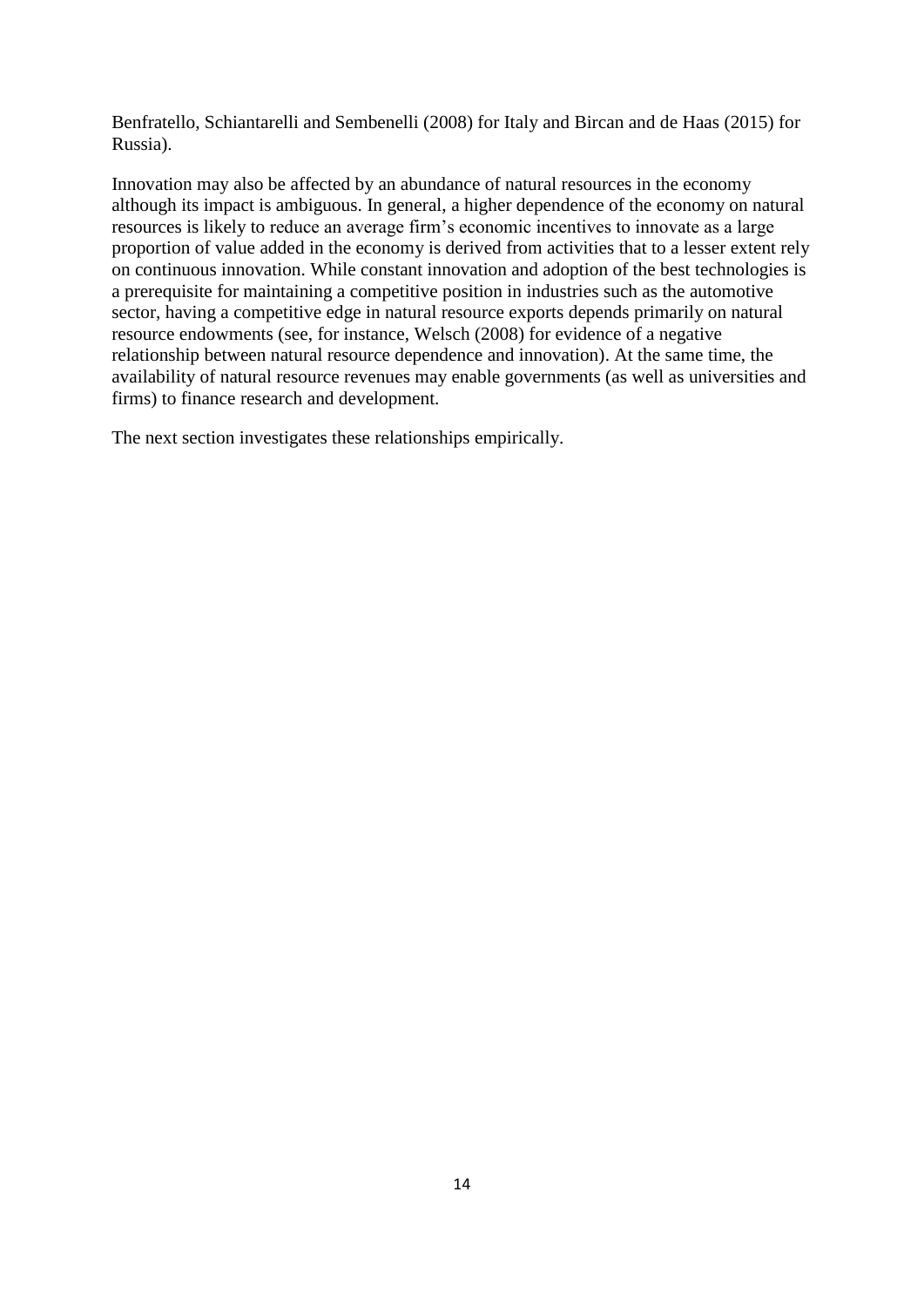Benfratello, Schiantarelli and Sembenelli (2008) for Italy and Bircan and de Haas (2015) for Russia).

Innovation may also be affected by an abundance of natural resources in the economy although its impact is ambiguous. In general, a higher dependence of the economy on natural resources is likely to reduce an average firm's economic incentives to innovate as a large proportion of value added in the economy is derived from activities that to a lesser extent rely on continuous innovation. While constant innovation and adoption of the best technologies is a prerequisite for maintaining a competitive position in industries such as the automotive sector, having a competitive edge in natural resource exports depends primarily on natural resource endowments (see, for instance, Welsch (2008) for evidence of a negative relationship between natural resource dependence and innovation). At the same time, the availability of natural resource revenues may enable governments (as well as universities and firms) to finance research and development.

The next section investigates these relationships empirically.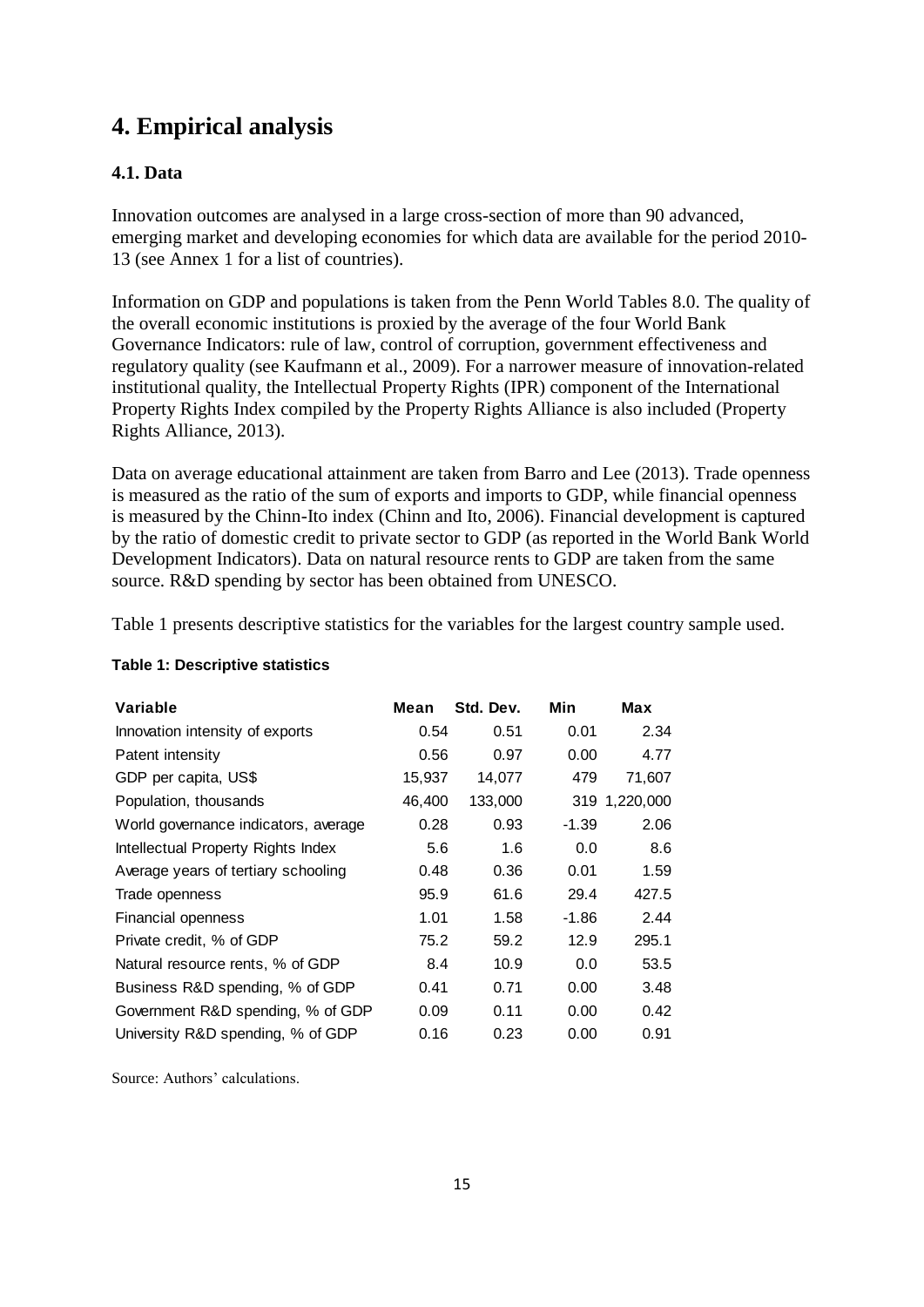### **4. Empirical analysis**

### **4.1. Data**

Innovation outcomes are analysed in a large cross-section of more than 90 advanced, emerging market and developing economies for which data are available for the period 2010- 13 (see Annex 1 for a list of countries).

Information on GDP and populations is taken from the Penn World Tables 8.0. The quality of the overall economic institutions is proxied by the average of the four World Bank Governance Indicators: rule of law, control of corruption, government effectiveness and regulatory quality (see Kaufmann et al., 2009). For a narrower measure of innovation-related institutional quality, the Intellectual Property Rights (IPR) component of the International Property Rights Index compiled by the Property Rights Alliance is also included (Property Rights Alliance, 2013).

Data on average educational attainment are taken from Barro and Lee (2013). Trade openness is measured as the ratio of the sum of exports and imports to GDP, while financial openness is measured by the Chinn-Ito index (Chinn and Ito, 2006). Financial development is captured by the ratio of domestic credit to private sector to GDP (as reported in the World Bank World Development Indicators). Data on natural resource rents to GDP are taken from the same source. R&D spending by sector has been obtained from UNESCO.

Table 1 presents descriptive statistics for the variables for the largest country sample used.

| Variable                             | Mean   | Std. Dev. | Min     | Max           |
|--------------------------------------|--------|-----------|---------|---------------|
| Innovation intensity of exports      | 0.54   | 0.51      | 0.01    | 2.34          |
| Patent intensity                     | 0.56   | 0.97      | 0.00    | 4.77          |
| GDP per capita, US\$                 | 15,937 | 14,077    | 479     | 71,607        |
| Population, thousands                | 46,400 | 133,000   |         | 319 1,220,000 |
| World governance indicators, average | 0.28   | 0.93      | $-1.39$ | 2.06          |
| Intellectual Property Rights Index   | 5.6    | 1.6       | 0.0     | 8.6           |
| Average years of tertiary schooling  | 0.48   | 0.36      | 0.01    | 1.59          |
| Trade openness                       | 95.9   | 61.6      | 29.4    | 427.5         |
| Financial openness                   | 1.01   | 1.58      | $-1.86$ | 2.44          |
| Private credit, % of GDP             | 75.2   | 59.2      | 12.9    | 295.1         |
| Natural resource rents, % of GDP     | 8.4    | 10.9      | 0.0     | 53.5          |
| Business R&D spending, % of GDP      | 0.41   | 0.71      | 0.00    | 3.48          |
| Government R&D spending, % of GDP    | 0.09   | 0.11      | 0.00    | 0.42          |
| University R&D spending, % of GDP    | 0.16   | 0.23      | 0.00    | 0.91          |

### **Table 1: Descriptive statistics**

Source: Authors' calculations.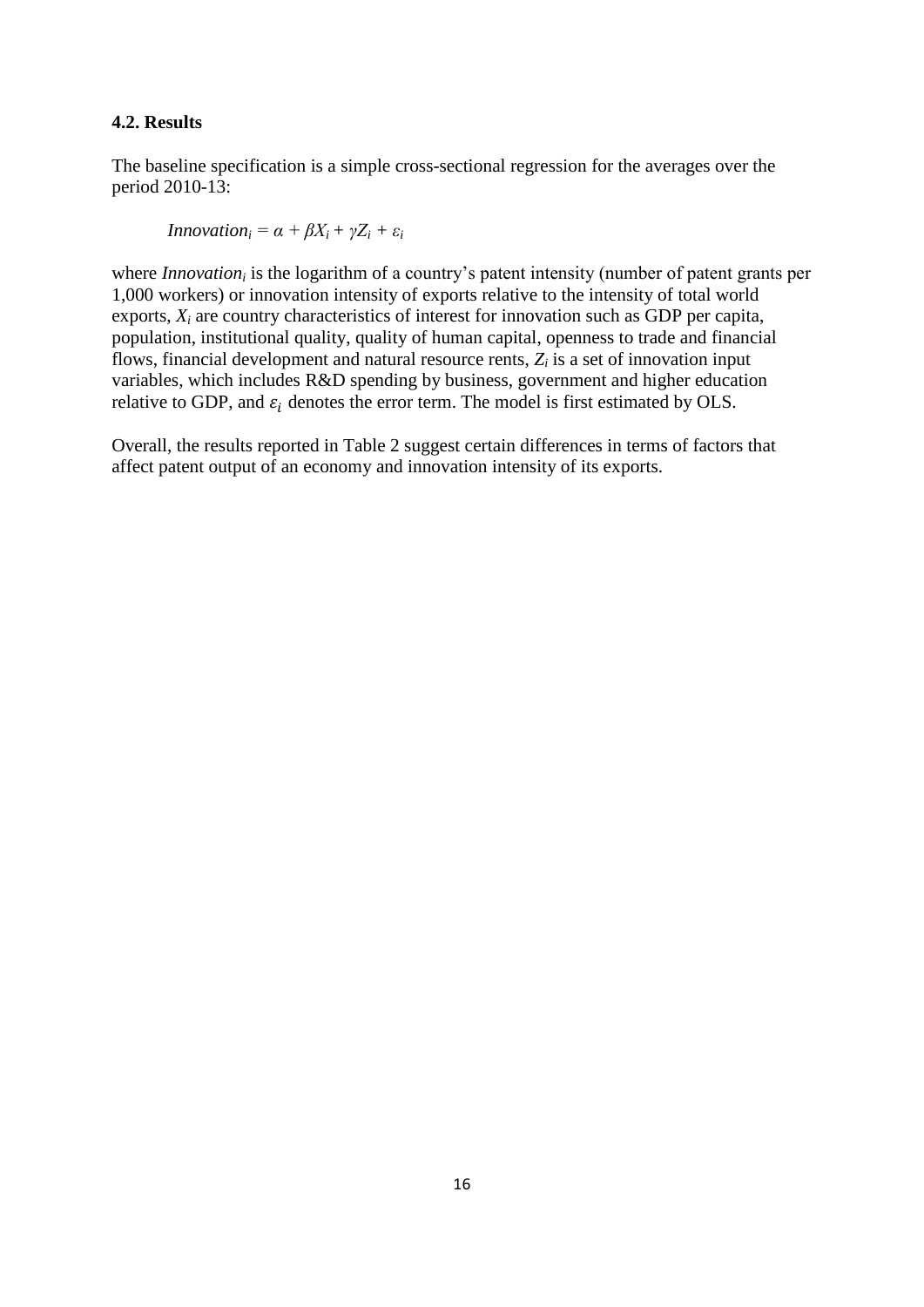### **4.2. Results**

The baseline specification is a simple cross-sectional regression for the averages over the period 2010-13:

*Innovation*<sub>*i*</sub> =  $\alpha + \beta X_i + \gamma Z_i + \varepsilon_i$ 

where *Innovation<sub>i</sub>* is the logarithm of a country's patent intensity (number of patent grants per 1,000 workers) or innovation intensity of exports relative to the intensity of total world exports,  $X_i$  are country characteristics of interest for innovation such as GDP per capita, population, institutional quality, quality of human capital, openness to trade and financial flows, financial development and natural resource rents,  $Z_i$  is a set of innovation input variables, which includes R&D spending by business, government and higher education relative to GDP, and  $\varepsilon_i$  denotes the error term. The model is first estimated by OLS.

Overall, the results reported in Table 2 suggest certain differences in terms of factors that affect patent output of an economy and innovation intensity of its exports.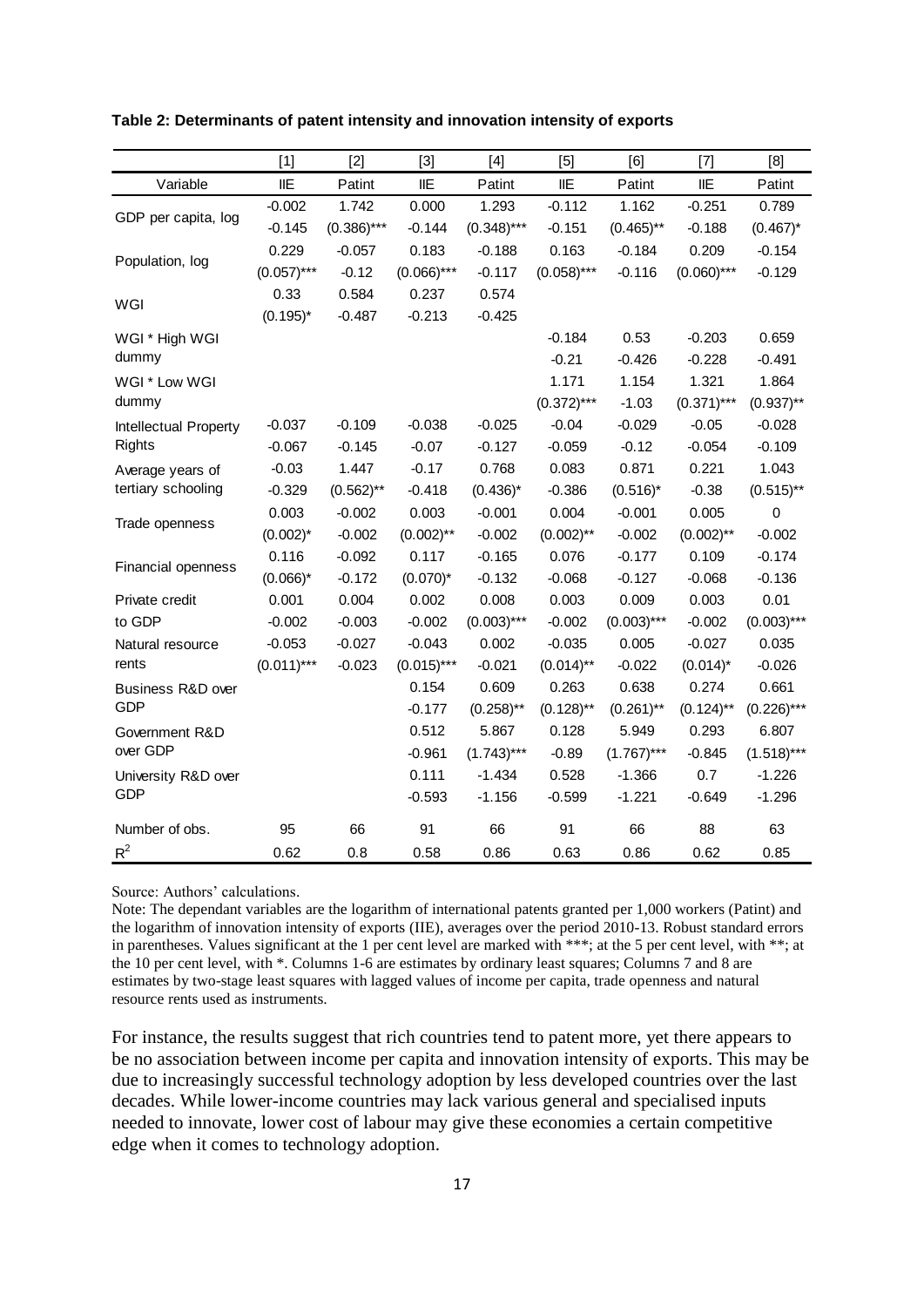|                                        | $[1]$         | $[2]$         | $[3]$         | $[4]$         | [5]           | [6]           | $[7]$         | [8]           |
|----------------------------------------|---------------|---------------|---------------|---------------|---------------|---------------|---------------|---------------|
| Variable                               | <b>IIE</b>    | Patint        | IIE           | Patint        | IIE           | Patint        | <b>IIE</b>    | Patint        |
| GDP per capita, log                    | $-0.002$      | 1.742         | 0.000         | 1.293         | $-0.112$      | 1.162         | $-0.251$      | 0.789         |
|                                        | $-0.145$      | $(0.386)$ *** | $-0.144$      | $(0.348)$ *** | $-0.151$      | $(0.465)$ **  | $-0.188$      | $(0.467)^*$   |
| Population, log                        | 0.229         | $-0.057$      | 0.183         | $-0.188$      | 0.163         | $-0.184$      | 0.209         | $-0.154$      |
|                                        | $(0.057)$ *** | $-0.12$       | $(0.066)$ *** | $-0.117$      | $(0.058)$ *** | $-0.116$      | $(0.060)$ *** | $-0.129$      |
| WGI                                    | 0.33          | 0.584         | 0.237         | 0.574         |               |               |               |               |
|                                        | $(0.195)^*$   | $-0.487$      | $-0.213$      | $-0.425$      |               |               |               |               |
| WGI * High WGI                         |               |               |               |               | $-0.184$      | 0.53          | $-0.203$      | 0.659         |
| dummy                                  |               |               |               |               | $-0.21$       | $-0.426$      | $-0.228$      | $-0.491$      |
| WGI * Low WGI                          |               |               |               |               | 1.171         | 1.154         | 1.321         | 1.864         |
| dummy                                  |               |               |               |               | $(0.372)$ *** | $-1.03$       | $(0.371)$ *** | $(0.937)$ **  |
| Intellectual Property                  | $-0.037$      | $-0.109$      | $-0.038$      | $-0.025$      | $-0.04$       | $-0.029$      | $-0.05$       | $-0.028$      |
| <b>Rights</b>                          | $-0.067$      | $-0.145$      | $-0.07$       | $-0.127$      | $-0.059$      | $-0.12$       | $-0.054$      | $-0.109$      |
| Average years of<br>tertiary schooling | $-0.03$       | 1.447         | $-0.17$       | 0.768         | 0.083         | 0.871         | 0.221         | 1.043         |
|                                        | $-0.329$      | $(0.562)$ **  | $-0.418$      | $(0.436)^*$   | $-0.386$      | $(0.516)^*$   | $-0.38$       | $(0.515)$ **  |
| Trade openness                         | 0.003         | $-0.002$      | 0.003         | $-0.001$      | 0.004         | $-0.001$      | 0.005         | $\pmb{0}$     |
|                                        | $(0.002)^*$   | $-0.002$      | $(0.002)$ **  | $-0.002$      | $(0.002)$ **  | $-0.002$      | $(0.002)$ **  | $-0.002$      |
| Financial openness                     | 0.116         | $-0.092$      | 0.117         | $-0.165$      | 0.076         | $-0.177$      | 0.109         | $-0.174$      |
|                                        | $(0.066)^*$   | $-0.172$      | $(0.070)^*$   | $-0.132$      | $-0.068$      | $-0.127$      | $-0.068$      | $-0.136$      |
| Private credit                         | 0.001         | 0.004         | 0.002         | 0.008         | 0.003         | 0.009         | 0.003         | 0.01          |
| to GDP                                 | $-0.002$      | $-0.003$      | $-0.002$      | $(0.003)***$  | $-0.002$      | $(0.003)$ *** | $-0.002$      | $(0.003)***$  |
| Natural resource                       | $-0.053$      | $-0.027$      | $-0.043$      | 0.002         | $-0.035$      | 0.005         | $-0.027$      | 0.035         |
| rents                                  | $(0.011)$ *** | $-0.023$      | $(0.015)$ *** | $-0.021$      | $(0.014)$ **  | $-0.022$      | $(0.014)^*$   | $-0.026$      |
| Business R&D over<br><b>GDP</b>        |               |               | 0.154         | 0.609         | 0.263         | 0.638         | 0.274         | 0.661         |
|                                        |               |               | $-0.177$      | $(0.258)$ **  | $(0.128)$ **  | $(0.261)$ **  | $(0.124)$ **  | $(0.226)$ *** |
| Government R&D<br>over GDP             |               |               | 0.512         | 5.867         | 0.128         | 5.949         | 0.293         | 6.807         |
|                                        |               |               | $-0.961$      | $(1.743)***$  | $-0.89$       | $(1.767)$ *** | $-0.845$      | $(1.518)***$  |
| University R&D over<br>GDP             |               |               | 0.111         | $-1.434$      | 0.528         | $-1.366$      | 0.7           | $-1.226$      |
|                                        |               |               | $-0.593$      | $-1.156$      | $-0.599$      | $-1.221$      | $-0.649$      | $-1.296$      |
| Number of obs.                         | 95            | 66            | 91            | 66            | 91            | 66            | 88            | 63            |
| $R^2$                                  | 0.62          | 0.8           | 0.58          | 0.86          | 0.63          | 0.86          | 0.62          | 0.85          |

#### **Table 2: Determinants of patent intensity and innovation intensity of exports**

Source: Authors' calculations.

Note: The dependant variables are the logarithm of international patents granted per 1,000 workers (Patint) and the logarithm of innovation intensity of exports (IIE), averages over the period 2010-13. Robust standard errors in parentheses. Values significant at the 1 per cent level are marked with \*\*\*; at the 5 per cent level, with \*\*; at the 10 per cent level, with \*. Columns 1-6 are estimates by ordinary least squares; Columns 7 and 8 are estimates by two-stage least squares with lagged values of income per capita, trade openness and natural resource rents used as instruments.

For instance, the results suggest that rich countries tend to patent more, yet there appears to be no association between income per capita and innovation intensity of exports. This may be due to increasingly successful technology adoption by less developed countries over the last decades. While lower-income countries may lack various general and specialised inputs needed to innovate, lower cost of labour may give these economies a certain competitive edge when it comes to technology adoption.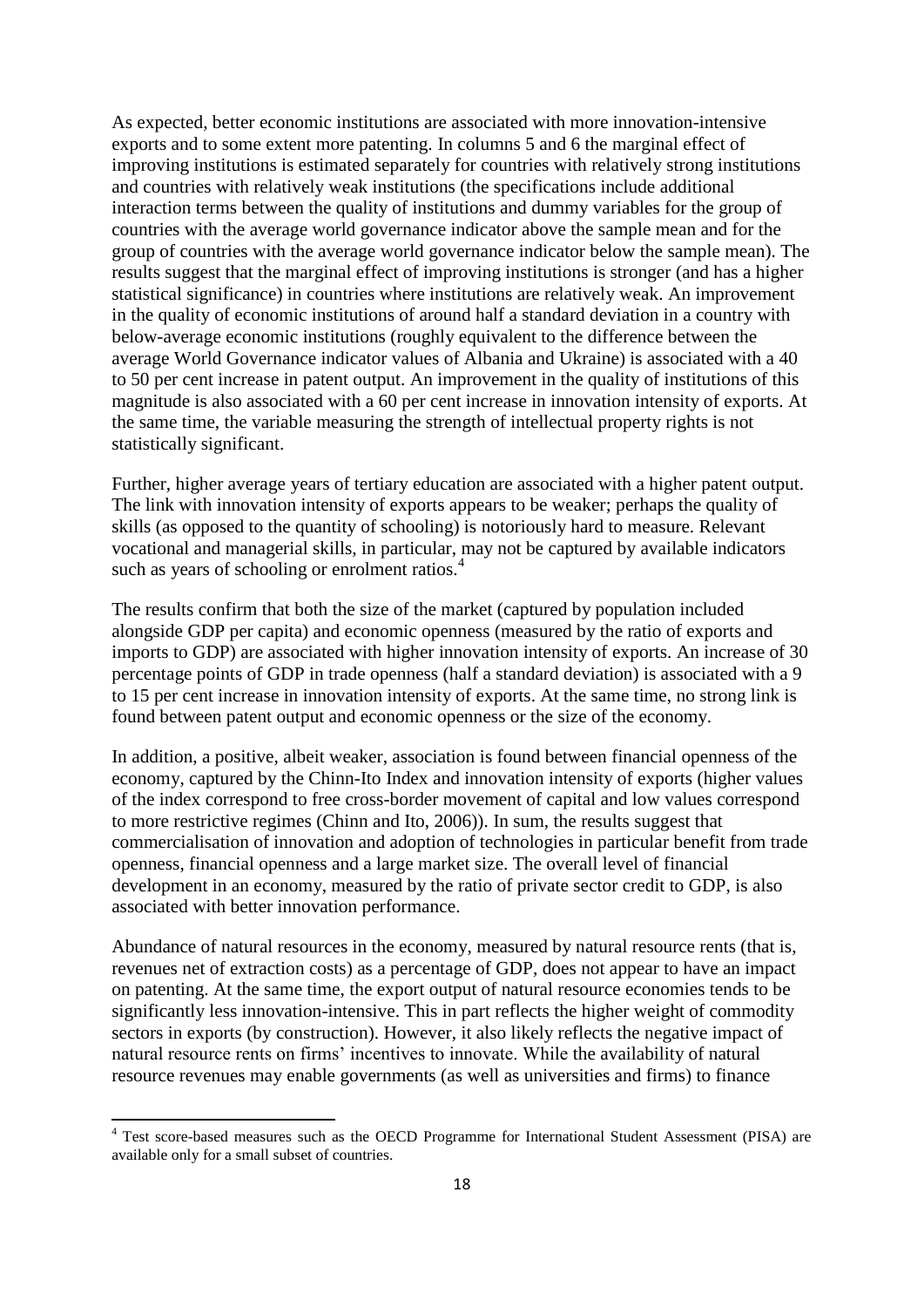As expected, better economic institutions are associated with more innovation-intensive exports and to some extent more patenting. In columns 5 and 6 the marginal effect of improving institutions is estimated separately for countries with relatively strong institutions and countries with relatively weak institutions (the specifications include additional interaction terms between the quality of institutions and dummy variables for the group of countries with the average world governance indicator above the sample mean and for the group of countries with the average world governance indicator below the sample mean). The results suggest that the marginal effect of improving institutions is stronger (and has a higher statistical significance) in countries where institutions are relatively weak. An improvement in the quality of economic institutions of around half a standard deviation in a country with below-average economic institutions (roughly equivalent to the difference between the average World Governance indicator values of Albania and Ukraine) is associated with a 40 to 50 per cent increase in patent output. An improvement in the quality of institutions of this magnitude is also associated with a 60 per cent increase in innovation intensity of exports. At the same time, the variable measuring the strength of intellectual property rights is not statistically significant.

Further, higher average years of tertiary education are associated with a higher patent output. The link with innovation intensity of exports appears to be weaker; perhaps the quality of skills (as opposed to the quantity of schooling) is notoriously hard to measure. Relevant vocational and managerial skills, in particular, may not be captured by available indicators such as years of schooling or enrolment ratios.<sup>4</sup>

The results confirm that both the size of the market (captured by population included alongside GDP per capita) and economic openness (measured by the ratio of exports and imports to GDP) are associated with higher innovation intensity of exports. An increase of 30 percentage points of GDP in trade openness (half a standard deviation) is associated with a 9 to 15 per cent increase in innovation intensity of exports. At the same time, no strong link is found between patent output and economic openness or the size of the economy.

In addition, a positive, albeit weaker, association is found between financial openness of the economy, captured by the Chinn-Ito Index and innovation intensity of exports (higher values of the index correspond to free cross-border movement of capital and low values correspond to more restrictive regimes (Chinn and Ito, 2006)). In sum, the results suggest that commercialisation of innovation and adoption of technologies in particular benefit from trade openness, financial openness and a large market size. The overall level of financial development in an economy, measured by the ratio of private sector credit to GDP, is also associated with better innovation performance.

Abundance of natural resources in the economy, measured by natural resource rents (that is, revenues net of extraction costs) as a percentage of GDP, does not appear to have an impact on patenting. At the same time, the export output of natural resource economies tends to be significantly less innovation-intensive. This in part reflects the higher weight of commodity sectors in exports (by construction). However, it also likely reflects the negative impact of natural resource rents on firms' incentives to innovate. While the availability of natural resource revenues may enable governments (as well as universities and firms) to finance

Test score-based measures such as the OECD Programme for International Student Assessment (PISA) are available only for a small subset of countries.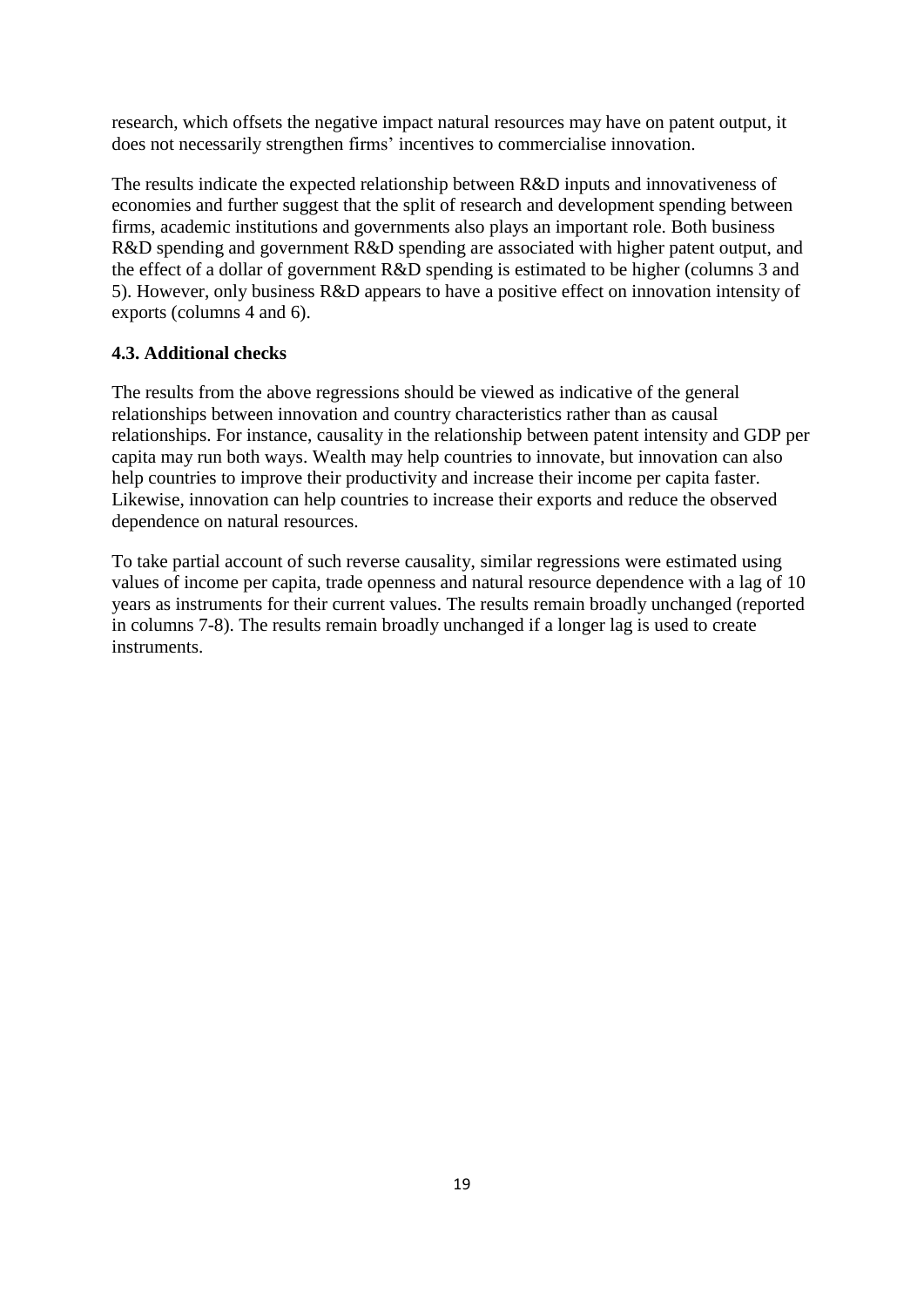research, which offsets the negative impact natural resources may have on patent output, it does not necessarily strengthen firms' incentives to commercialise innovation.

The results indicate the expected relationship between R&D inputs and innovativeness of economies and further suggest that the split of research and development spending between firms, academic institutions and governments also plays an important role. Both business R&D spending and government R&D spending are associated with higher patent output, and the effect of a dollar of government R&D spending is estimated to be higher (columns 3 and 5). However, only business R&D appears to have a positive effect on innovation intensity of exports (columns 4 and 6).

### **4.3. Additional checks**

The results from the above regressions should be viewed as indicative of the general relationships between innovation and country characteristics rather than as causal relationships. For instance, causality in the relationship between patent intensity and GDP per capita may run both ways. Wealth may help countries to innovate, but innovation can also help countries to improve their productivity and increase their income per capita faster. Likewise, innovation can help countries to increase their exports and reduce the observed dependence on natural resources.

To take partial account of such reverse causality, similar regressions were estimated using values of income per capita, trade openness and natural resource dependence with a lag of 10 years as instruments for their current values. The results remain broadly unchanged (reported in columns 7-8). The results remain broadly unchanged if a longer lag is used to create instruments.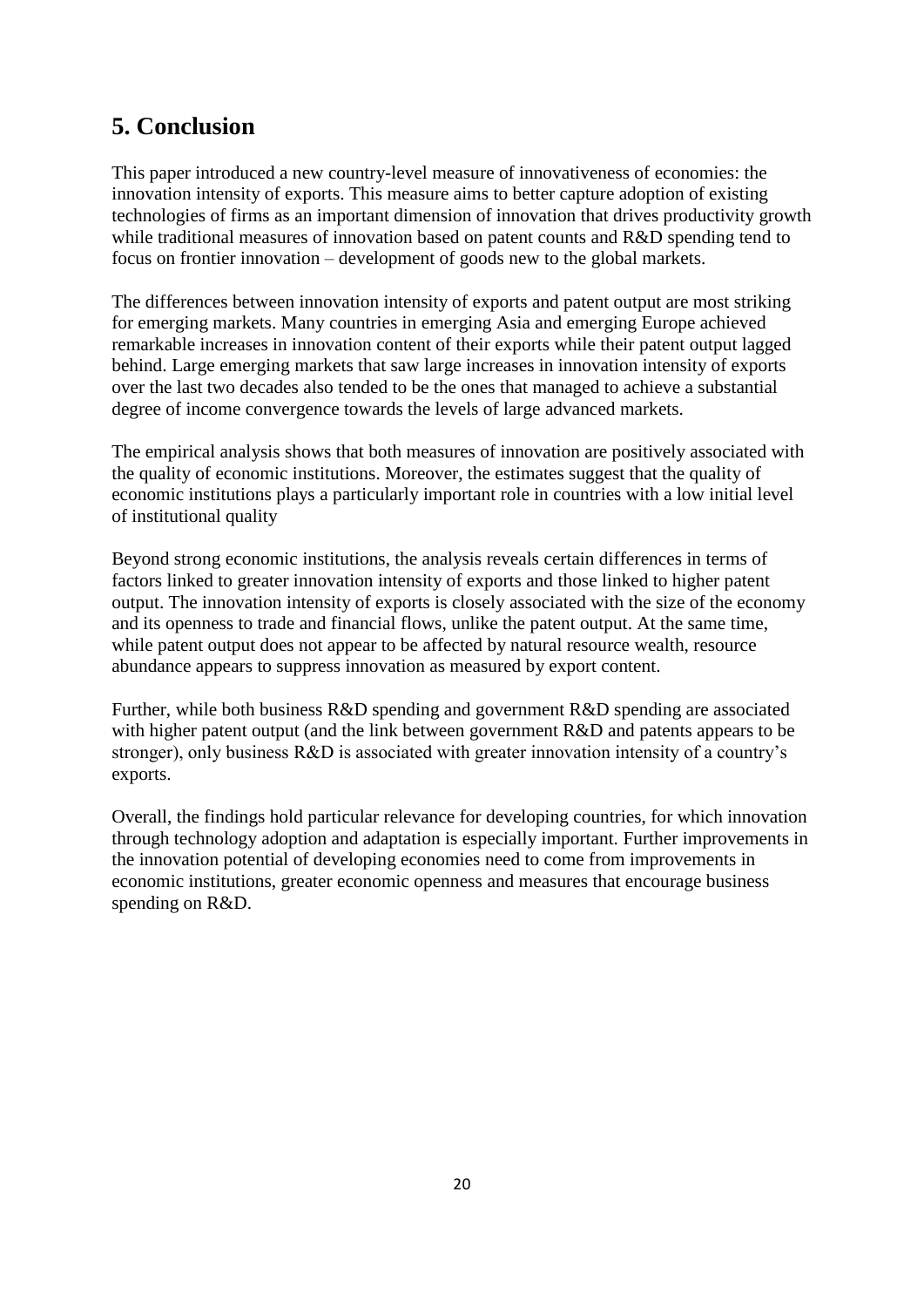### **5. Conclusion**

This paper introduced a new country-level measure of innovativeness of economies: the innovation intensity of exports. This measure aims to better capture adoption of existing technologies of firms as an important dimension of innovation that drives productivity growth while traditional measures of innovation based on patent counts and R&D spending tend to focus on frontier innovation – development of goods new to the global markets.

The differences between innovation intensity of exports and patent output are most striking for emerging markets. Many countries in emerging Asia and emerging Europe achieved remarkable increases in innovation content of their exports while their patent output lagged behind. Large emerging markets that saw large increases in innovation intensity of exports over the last two decades also tended to be the ones that managed to achieve a substantial degree of income convergence towards the levels of large advanced markets.

The empirical analysis shows that both measures of innovation are positively associated with the quality of economic institutions. Moreover, the estimates suggest that the quality of economic institutions plays a particularly important role in countries with a low initial level of institutional quality

Beyond strong economic institutions, the analysis reveals certain differences in terms of factors linked to greater innovation intensity of exports and those linked to higher patent output. The innovation intensity of exports is closely associated with the size of the economy and its openness to trade and financial flows, unlike the patent output. At the same time, while patent output does not appear to be affected by natural resource wealth, resource abundance appears to suppress innovation as measured by export content.

Further, while both business R&D spending and government R&D spending are associated with higher patent output (and the link between government R&D and patents appears to be stronger), only business R&D is associated with greater innovation intensity of a country's exports.

Overall, the findings hold particular relevance for developing countries, for which innovation through technology adoption and adaptation is especially important. Further improvements in the innovation potential of developing economies need to come from improvements in economic institutions, greater economic openness and measures that encourage business spending on R&D.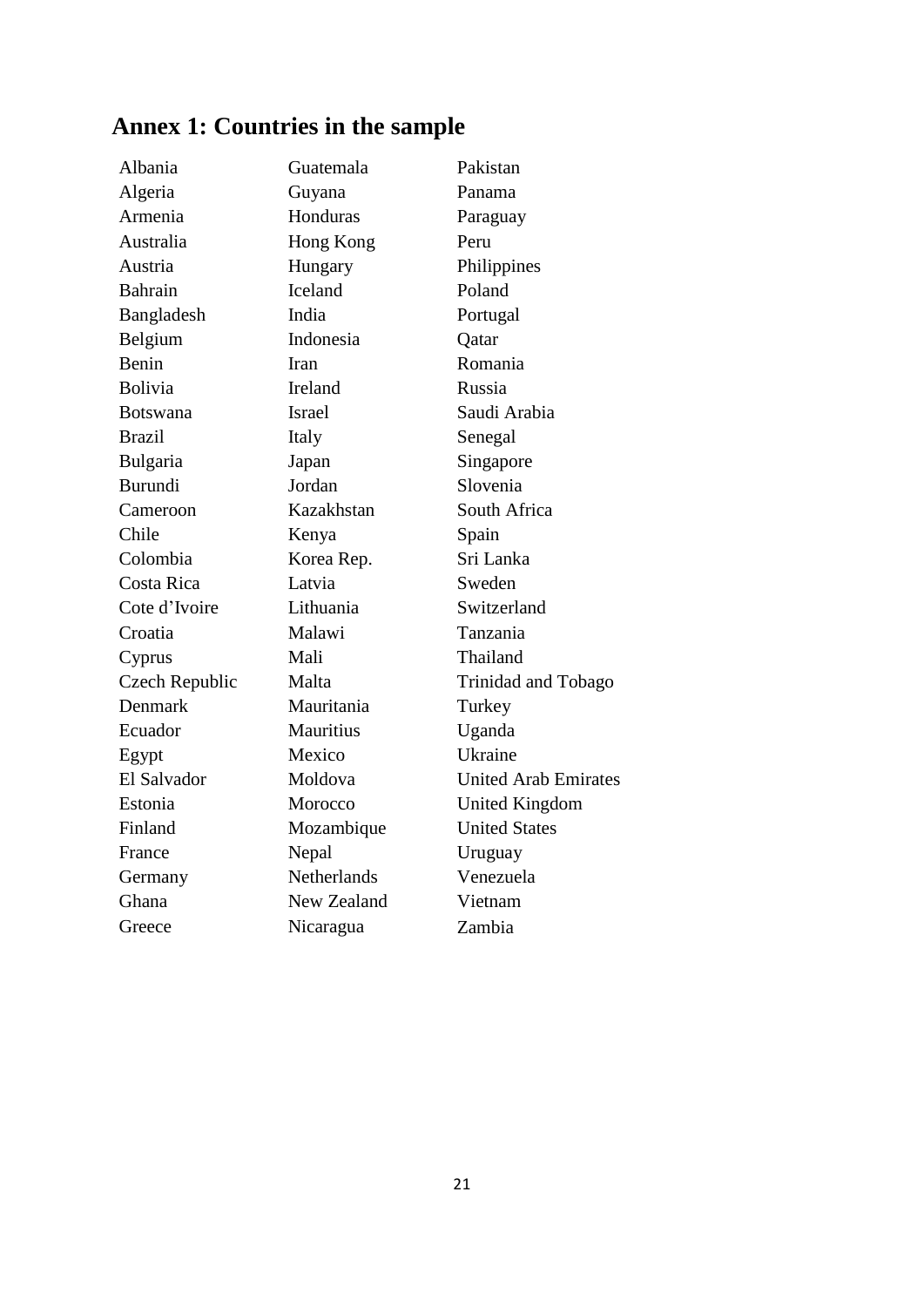## **Annex 1: Countries in the sample**

| Albania         | Guatemala          | Pakistan                    |
|-----------------|--------------------|-----------------------------|
| Algeria         | Guyana             | Panama                      |
| Armenia         | Honduras           | Paraguay                    |
| Australia       | Hong Kong          | Peru                        |
| Austria         | Hungary            | Philippines                 |
| <b>Bahrain</b>  | Iceland            | Poland                      |
| Bangladesh      | India              | Portugal                    |
| Belgium         | Indonesia          | Qatar                       |
| Benin           | Iran               | Romania                     |
| <b>Bolivia</b>  | <b>Ireland</b>     | Russia                      |
| <b>Botswana</b> | <b>Israel</b>      | Saudi Arabia                |
| <b>Brazil</b>   | Italy              | Senegal                     |
| Bulgaria        | Japan              | Singapore                   |
| <b>Burundi</b>  | Jordan             | Slovenia                    |
| Cameroon        | Kazakhstan         | South Africa                |
| Chile           | Kenya              | Spain                       |
| Colombia        | Korea Rep.         | Sri Lanka                   |
| Costa Rica      | Latvia             | Sweden                      |
| Cote d'Ivoire   | Lithuania          | Switzerland                 |
| Croatia         | Malawi             | Tanzania                    |
| Cyprus          | Mali               | Thailand                    |
| Czech Republic  | Malta              | Trinidad and Tobago         |
| Denmark         | Mauritania         | Turkey                      |
| Ecuador         | <b>Mauritius</b>   | Uganda                      |
| Egypt           | Mexico             | Ukraine                     |
| El Salvador     | Moldova            | <b>United Arab Emirates</b> |
| Estonia         | Morocco            | <b>United Kingdom</b>       |
| Finland         | Mozambique         | <b>United States</b>        |
| France          | Nepal              | Uruguay                     |
| Germany         | <b>Netherlands</b> | Venezuela                   |
| Ghana           | New Zealand        | Vietnam                     |
| Greece          | Nicaragua          | Zambia                      |
|                 |                    |                             |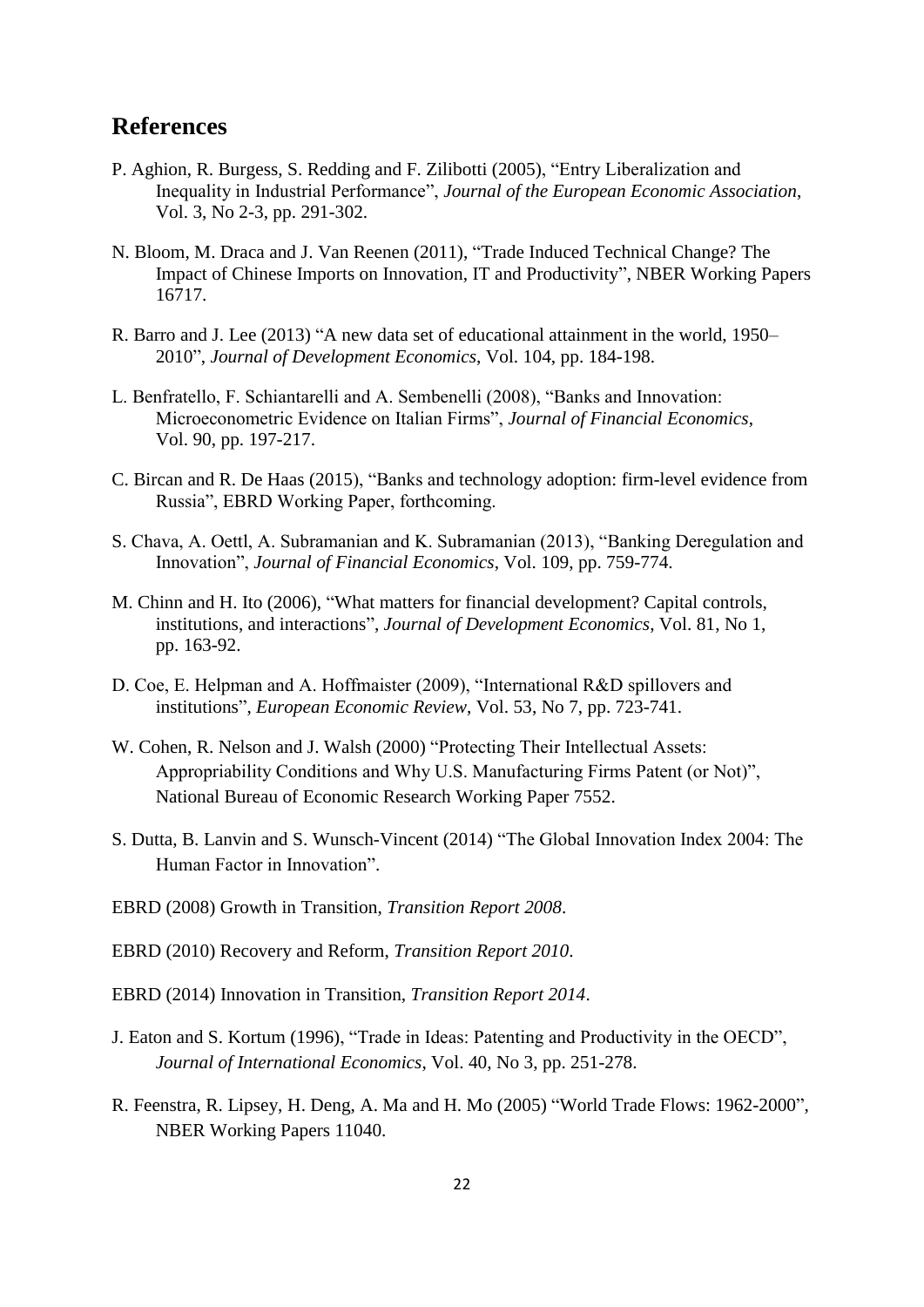### **References**

- P. Aghion, R. Burgess, S. Redding and F. Zilibotti (2005), "Entry Liberalization and Inequality in Industrial Performance", *Journal of the European Economic Association*, Vol. 3, No 2-3, pp. 291-302.
- N. Bloom, M. Draca and J. Van Reenen (2011), "Trade Induced Technical Change? The Impact of Chinese Imports on Innovation, IT and Productivity", NBER Working Papers 16717.
- R. Barro and J. Lee (2013) "A new data set of educational attainment in the world, 1950– 2010", *Journal of Development Economics*, Vol. 104, pp. 184-198.
- L. Benfratello, F. Schiantarelli and A. Sembenelli (2008), "Banks and Innovation: Microeconometric Evidence on Italian Firms", *Journal of Financial Economics*, Vol. 90, pp. 197-217.
- C. Bircan and R. De Haas (2015), "Banks and technology adoption: firm-level evidence from Russia", EBRD Working Paper, forthcoming.
- S. Chava, A. Oettl, A. Subramanian and K. Subramanian (2013), "Banking Deregulation and Innovation", *Journal of Financial Economics*, Vol. 109, pp. 759-774.
- M. Chinn and H. Ito (2006), "What matters for financial development? Capital controls, institutions, and interactions", *Journal of Development Economics*, Vol. 81, No 1, pp. 163-92.
- D. Coe, E. Helpman and A. Hoffmaister (2009), "International R&D spillovers and institutions", *European Economic Review*, Vol. 53, No 7, pp. 723-741.
- W. Cohen, R. Nelson and J. Walsh (2000) "Protecting Their Intellectual Assets: Appropriability Conditions and Why U.S. Manufacturing Firms Patent (or Not)", National Bureau of Economic Research Working Paper 7552.
- S. Dutta, B. Lanvin and S. Wunsch-Vincent (2014) "The Global Innovation Index 2004: The Human Factor in Innovation".
- EBRD (2008) Growth in Transition, *Transition Report 2008*.
- EBRD (2010) Recovery and Reform, *Transition Report 2010*.
- EBRD (2014) Innovation in Transition, *Transition Report 2014*.
- J. Eaton and S. Kortum (1996), "Trade in Ideas: Patenting and Productivity in the OECD", *Journal of International Economics*, Vol. 40, No 3, pp. 251-278.
- R. Feenstra, R. Lipsey, H. Deng, A. Ma and H. Mo (2005) "World Trade Flows: 1962-2000", NBER Working Papers 11040.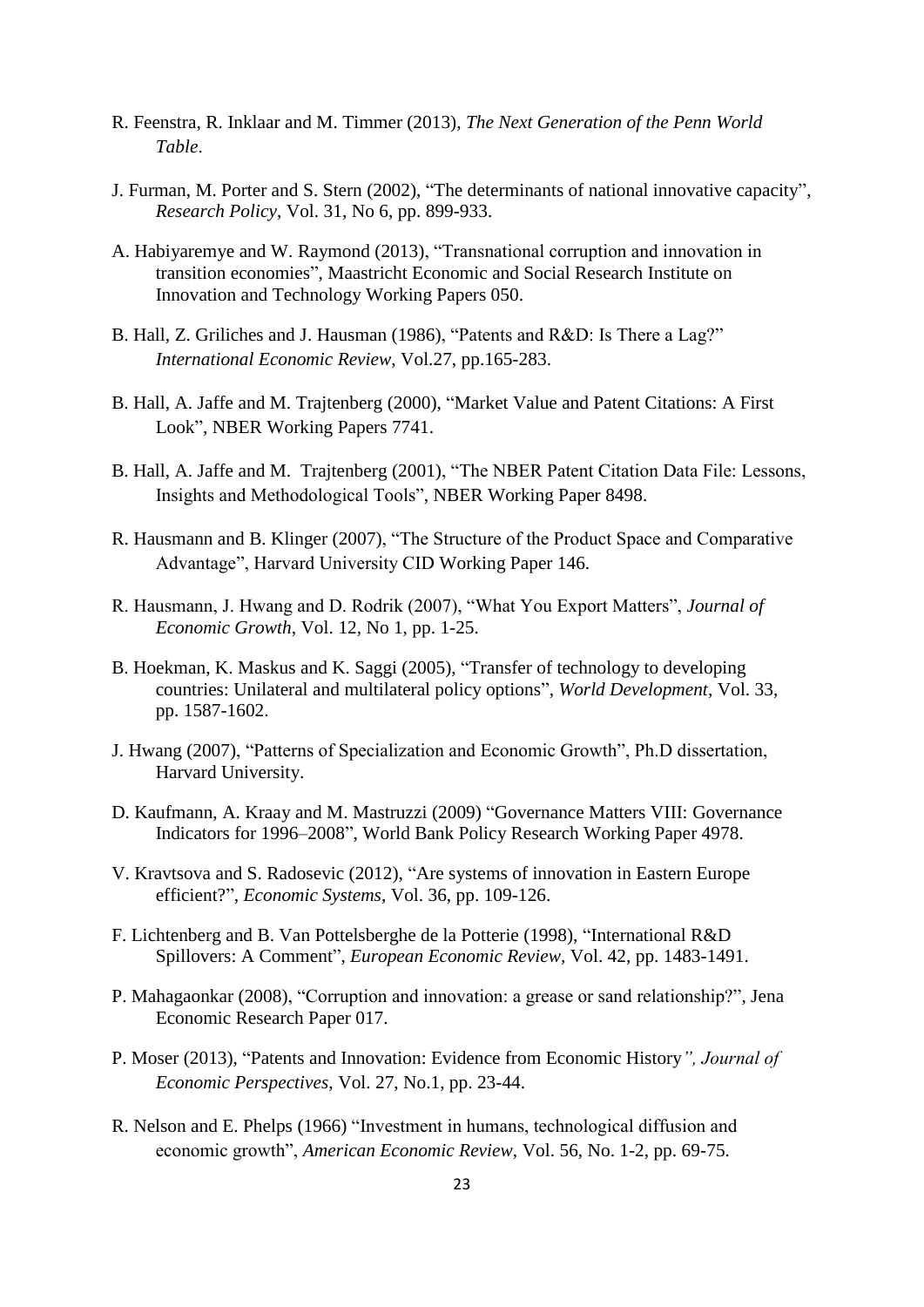- R. Feenstra, R. Inklaar and M. Timmer (2013), *The Next Generation of the Penn World Table*.
- J. Furman, M. Porter and S. Stern (2002), "The determinants of national innovative capacity", *Research Policy*, Vol. 31, No 6, pp. 899-933.
- A. Habiyaremye and W. Raymond (2013), "Transnational corruption and innovation in transition economies", Maastricht Economic and Social Research Institute on Innovation and Technology Working Papers 050.
- B. Hall, Z. Griliches and J. Hausman (1986), "Patents and R&D: Is There a Lag?" *International Economic Review*, Vol.27, pp.165-283.
- B. Hall, A. Jaffe and M. Trajtenberg (2000), "Market Value and Patent Citations: A First Look", NBER Working Papers 7741.
- B. Hall, A. Jaffe and M. Trajtenberg (2001), "The NBER Patent Citation Data File: Lessons, Insights and Methodological Tools", NBER Working Paper 8498.
- R. Hausmann and B. Klinger (2007), "The Structure of the Product Space and Comparative Advantage", Harvard University CID Working Paper 146.
- R. Hausmann, J. Hwang and D. Rodrik (2007), "What You Export Matters", *Journal of Economic Growth*, Vol. 12, No 1, pp. 1-25.
- B. Hoekman, K. Maskus and K. Saggi (2005), "Transfer of technology to developing countries: Unilateral and multilateral policy options", *World Development*, Vol. 33, pp. 1587-1602.
- J. Hwang (2007), "Patterns of Specialization and Economic Growth", Ph.D dissertation, Harvard University.
- D. Kaufmann, A. Kraay and M. Mastruzzi (2009) "Governance Matters VIII: Governance Indicators for 1996–2008", World Bank Policy Research Working Paper 4978.
- V. Kravtsova and S. Radosevic (2012), "Are systems of innovation in Eastern Europe efficient?", *Economic Systems*, Vol. 36, pp. 109-126.
- F. Lichtenberg and B. Van Pottelsberghe de la Potterie (1998), "International R&D Spillovers: A Comment", *European Economic Review,* Vol. 42, pp. 1483-1491.
- P. Mahagaonkar (2008), "Corruption and innovation: a grease or sand relationship?", Jena Economic Research Paper 017.
- P. Moser (2013), "Patents and Innovation: Evidence from Economic History*", Journal of Economic Perspectives*, Vol. 27, No.1, pp. 23-44.
- R. Nelson and E. Phelps (1966) "Investment in humans, technological diffusion and economic growth", *American Economic Review*, Vol. 56, No. 1-2, pp. 69-75.